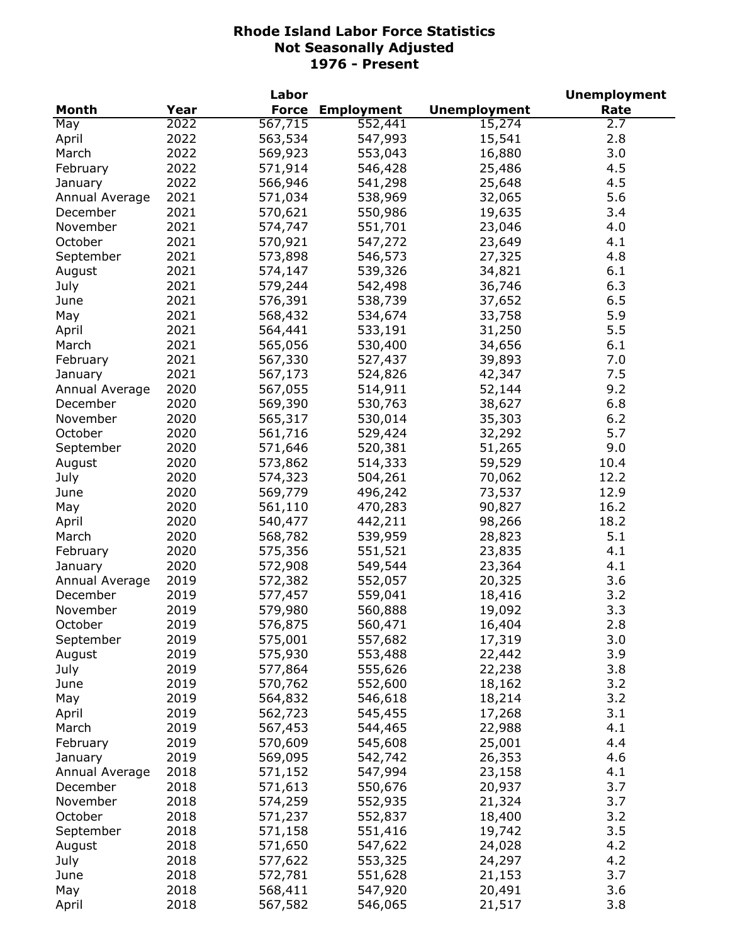|                |      | Labor              |                    |                     | <b>Unemployment</b> |
|----------------|------|--------------------|--------------------|---------------------|---------------------|
| Month          | Year | <b>Force</b>       | <b>Employment</b>  | <b>Unemployment</b> | Rate                |
| May            | 2022 | 567,715            | 552,441            | 15,274              | 2.7                 |
| April          | 2022 | 563,534            | 547,993            | 15,541              | 2.8                 |
| March          | 2022 | 569,923            | 553,043            | 16,880              | 3.0                 |
| February       | 2022 | 571,914            | 546,428            | 25,486              | 4.5                 |
| January        | 2022 | 566,946            | 541,298            | 25,648              | 4.5                 |
| Annual Average | 2021 | 571,034            | 538,969            | 32,065              | 5.6                 |
| December       | 2021 | 570,621            | 550,986            | 19,635              | 3.4                 |
| November       | 2021 | 574,747            | 551,701            | 23,046              | 4.0                 |
| October        | 2021 | 570,921            | 547,272            | 23,649              | 4.1                 |
| September      | 2021 | 573,898            | 546,573            | 27,325              | 4.8                 |
| August         | 2021 | 574,147            | 539,326            | 34,821              | 6.1                 |
| July           | 2021 | 579,244            | 542,498            | 36,746              | 6.3                 |
| June           | 2021 | 576,391            | 538,739            | 37,652              | 6.5                 |
|                | 2021 |                    |                    |                     | 5.9                 |
| May            | 2021 | 568,432<br>564,441 | 534,674            | 33,758              | 5.5                 |
| April          | 2021 |                    | 533,191<br>530,400 | 31,250              | 6.1                 |
| March          |      | 565,056            |                    | 34,656              |                     |
| February       | 2021 | 567,330            | 527,437            | 39,893              | 7.0                 |
| January        | 2021 | 567,173            | 524,826            | 42,347              | 7.5                 |
| Annual Average | 2020 | 567,055            | 514,911            | 52,144              | 9.2                 |
| December       | 2020 | 569,390            | 530,763            | 38,627              | 6.8                 |
| November       | 2020 | 565,317            | 530,014            | 35,303              | 6.2                 |
| October        | 2020 | 561,716            | 529,424            | 32,292              | 5.7                 |
| September      | 2020 | 571,646            | 520,381            | 51,265              | 9.0                 |
| August         | 2020 | 573,862            | 514,333            | 59,529              | 10.4                |
| July           | 2020 | 574,323            | 504,261            | 70,062              | 12.2                |
| June           | 2020 | 569,779            | 496,242            | 73,537              | 12.9                |
| May            | 2020 | 561,110            | 470,283            | 90,827              | 16.2                |
| April          | 2020 | 540,477            | 442,211            | 98,266              | 18.2                |
| March          | 2020 | 568,782            | 539,959            | 28,823              | 5.1                 |
| February       | 2020 | 575,356            | 551,521            | 23,835              | 4.1                 |
| January        | 2020 | 572,908            | 549,544            | 23,364              | 4.1                 |
| Annual Average | 2019 | 572,382            | 552,057            | 20,325              | 3.6                 |
| December       | 2019 | 577,457            | 559,041            | 18,416              | 3.2                 |
| November       | 2019 | 579,980            | 560,888            | 19,092              | 3.3                 |
| October        | 2019 | 576,875            | 560,471            | 16,404              | 2.8                 |
| September      | 2019 | 575,001            | 557,682            | 17,319              | 3.0                 |
| August         | 2019 | 575,930            | 553,488            | 22,442              | 3.9                 |
| July           | 2019 | 577,864            | 555,626            | 22,238              | 3.8                 |
| June           | 2019 | 570,762            | 552,600            | 18,162              | 3.2                 |
| May            | 2019 | 564,832            | 546,618            | 18,214              | 3.2                 |
| April          | 2019 | 562,723            | 545,455            | 17,268              | 3.1                 |
| March          | 2019 | 567,453            | 544,465            | 22,988              | 4.1                 |
| February       | 2019 | 570,609            | 545,608            | 25,001              | 4.4                 |
| January        | 2019 | 569,095            | 542,742            | 26,353              | 4.6                 |
| Annual Average | 2018 | 571,152            | 547,994            | 23,158              | 4.1                 |
| December       | 2018 | 571,613            | 550,676            | 20,937              | 3.7                 |
| November       | 2018 | 574,259            | 552,935            | 21,324              | 3.7                 |
| October        | 2018 | 571,237            | 552,837            | 18,400              | 3.2                 |
|                |      |                    |                    |                     |                     |
| September      | 2018 | 571,158            | 551,416            | 19,742              | 3.5                 |
| August         | 2018 | 571,650            | 547,622            | 24,028              | 4.2                 |
| July           | 2018 | 577,622            | 553,325            | 24,297              | 4.2                 |
| June           | 2018 | 572,781            | 551,628            | 21,153              | 3.7                 |
| May            | 2018 | 568,411            | 547,920            | 20,491              | 3.6                 |
| April          | 2018 | 567,582            | 546,065            | 21,517              | 3.8                 |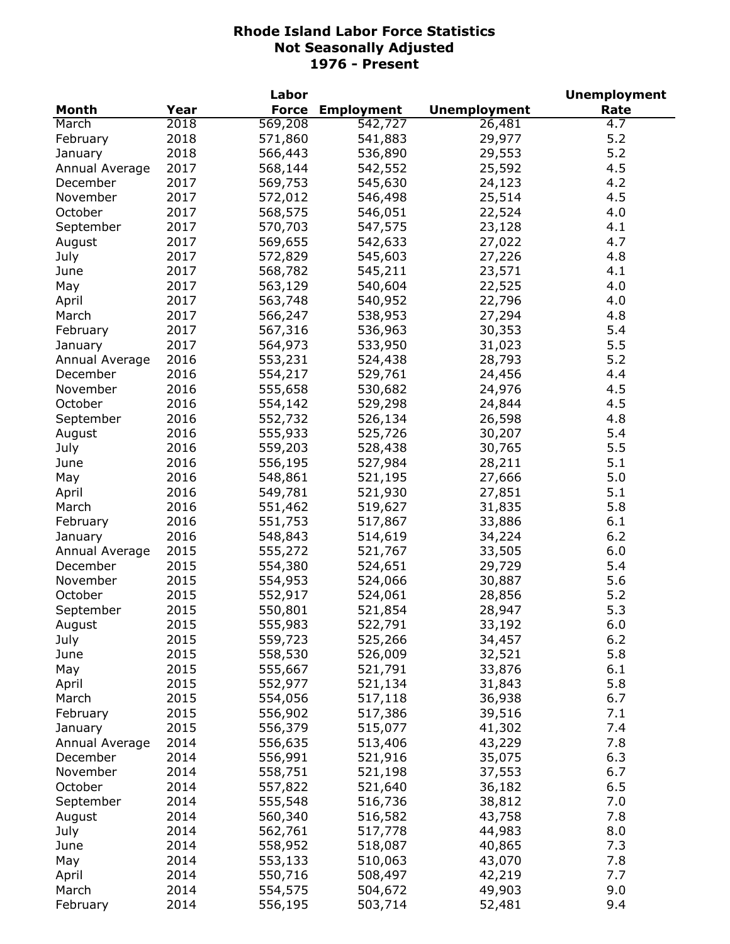|                |      | Labor        |                   |                     | <b>Unemployment</b> |
|----------------|------|--------------|-------------------|---------------------|---------------------|
| <b>Month</b>   | Year | <b>Force</b> | <b>Employment</b> | <b>Unemployment</b> | Rate                |
| March          | 2018 | 569,208      | 542,727           | 26,481              | $\overline{4.7}$    |
| February       | 2018 | 571,860      | 541,883           | 29,977              | 5.2                 |
| January        | 2018 | 566,443      | 536,890           | 29,553              | 5.2                 |
| Annual Average | 2017 | 568,144      | 542,552           | 25,592              | 4.5                 |
| December       | 2017 | 569,753      | 545,630           | 24,123              | 4.2                 |
| November       | 2017 | 572,012      | 546,498           | 25,514              | 4.5                 |
| October        | 2017 | 568,575      | 546,051           | 22,524              | 4.0                 |
| September      | 2017 | 570,703      | 547,575           | 23,128              | 4.1                 |
| August         | 2017 | 569,655      | 542,633           | 27,022              | 4.7                 |
| July           | 2017 | 572,829      | 545,603           | 27,226              | 4.8                 |
| June           | 2017 | 568,782      | 545,211           | 23,571              | 4.1                 |
| May            | 2017 | 563,129      | 540,604           | 22,525              | 4.0                 |
| April          | 2017 | 563,748      | 540,952           | 22,796              | 4.0                 |
| March          | 2017 | 566,247      | 538,953           | 27,294              | 4.8                 |
| February       | 2017 | 567,316      | 536,963           | 30,353              | 5.4                 |
| January        | 2017 | 564,973      | 533,950           | 31,023              | 5.5                 |
| Annual Average | 2016 | 553,231      | 524,438           | 28,793              | 5.2                 |
| December       | 2016 | 554,217      | 529,761           | 24,456              | 4.4                 |
| November       | 2016 | 555,658      | 530,682           | 24,976              | 4.5                 |
| October        |      |              | 529,298           |                     | 4.5                 |
|                | 2016 | 554,142      |                   | 24,844              |                     |
| September      | 2016 | 552,732      | 526,134           | 26,598              | 4.8                 |
| August         | 2016 | 555,933      | 525,726           | 30,207              | 5.4                 |
| July           | 2016 | 559,203      | 528,438           | 30,765              | 5.5                 |
| June           | 2016 | 556,195      | 527,984           | 28,211              | 5.1                 |
| May            | 2016 | 548,861      | 521,195           | 27,666              | 5.0                 |
| April          | 2016 | 549,781      | 521,930           | 27,851              | 5.1                 |
| March          | 2016 | 551,462      | 519,627           | 31,835              | 5.8                 |
| February       | 2016 | 551,753      | 517,867           | 33,886              | 6.1                 |
| January        | 2016 | 548,843      | 514,619           | 34,224              | 6.2                 |
| Annual Average | 2015 | 555,272      | 521,767           | 33,505              | 6.0                 |
| December       | 2015 | 554,380      | 524,651           | 29,729              | 5.4                 |
| November       | 2015 | 554,953      | 524,066           | 30,887              | 5.6                 |
| October        | 2015 | 552,917      | 524,061           | 28,856              | 5.2                 |
| September      | 2015 | 550,801      | 521,854           | 28,947              | 5.3                 |
| August         | 2015 | 555,983      | 522,791           | 33,192              | 6.0                 |
| July           | 2015 | 559,723      | 525,266           | 34,457              | 6.2                 |
| June           | 2015 | 558,530      | 526,009           | 32,521              | 5.8                 |
| May            | 2015 | 555,667      | 521,791           | 33,876              | 6.1                 |
| April          | 2015 | 552,977      | 521,134           | 31,843              | 5.8                 |
| March          | 2015 | 554,056      | 517,118           | 36,938              | 6.7                 |
| February       | 2015 | 556,902      | 517,386           | 39,516              | 7.1                 |
| January        | 2015 | 556,379      | 515,077           | 41,302              | 7.4                 |
| Annual Average | 2014 | 556,635      | 513,406           | 43,229              | 7.8                 |
| December       | 2014 | 556,991      | 521,916           | 35,075              | 6.3                 |
| November       | 2014 | 558,751      | 521,198           | 37,553              | 6.7                 |
| October        | 2014 | 557,822      | 521,640           | 36,182              | 6.5                 |
| September      | 2014 | 555,548      | 516,736           | 38,812              | 7.0                 |
| August         | 2014 | 560,340      | 516,582           | 43,758              | 7.8                 |
| July           | 2014 | 562,761      | 517,778           | 44,983              | 8.0                 |
| June           | 2014 | 558,952      | 518,087           | 40,865              | 7.3                 |
| May            | 2014 | 553,133      | 510,063           | 43,070              | 7.8                 |
| April          | 2014 | 550,716      | 508,497           | 42,219              | 7.7                 |
| March          | 2014 | 554,575      | 504,672           | 49,903              | 9.0                 |
| February       | 2014 | 556,195      | 503,714           | 52,481              | 9.4                 |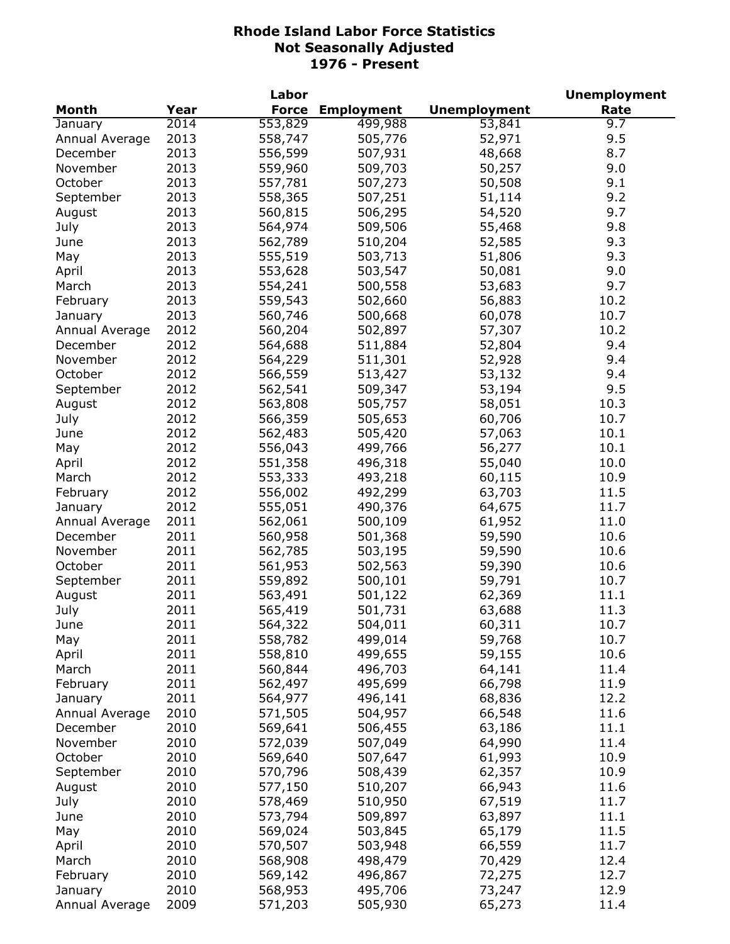|                |      | Labor        |                   |                     | <b>Unemployment</b> |
|----------------|------|--------------|-------------------|---------------------|---------------------|
| <b>Month</b>   | Year | <b>Force</b> | <b>Employment</b> | <b>Unemployment</b> | Rate                |
| January        | 2014 | 553,829      | 499,988           | 53,841              | 9.7                 |
| Annual Average | 2013 | 558,747      | 505,776           | 52,971              | 9.5                 |
| December       | 2013 | 556,599      | 507,931           | 48,668              | 8.7                 |
| November       | 2013 | 559,960      | 509,703           | 50,257              | 9.0                 |
| October        | 2013 | 557,781      | 507,273           | 50,508              | 9.1                 |
| September      | 2013 | 558,365      | 507,251           | 51,114              | 9.2                 |
| August         | 2013 | 560,815      | 506,295           | 54,520              | 9.7                 |
| July           | 2013 | 564,974      | 509,506           | 55,468              | 9.8                 |
| June           | 2013 | 562,789      | 510,204           | 52,585              | 9.3                 |
| May            | 2013 | 555,519      | 503,713           | 51,806              | 9.3                 |
| April          | 2013 | 553,628      | 503,547           | 50,081              | 9.0                 |
| March          | 2013 | 554,241      | 500,558           | 53,683              | 9.7                 |
| February       | 2013 | 559,543      | 502,660           | 56,883              | 10.2                |
| January        | 2013 | 560,746      | 500,668           | 60,078              | 10.7                |
| Annual Average | 2012 | 560,204      | 502,897           | 57,307              | 10.2                |
| December       | 2012 | 564,688      | 511,884           | 52,804              | 9.4                 |
| November       | 2012 | 564,229      | 511,301           | 52,928              | 9.4                 |
| October        | 2012 | 566,559      | 513,427           | 53,132              | 9.4                 |
|                | 2012 | 562,541      | 509,347           | 53,194              | 9.5                 |
| September      | 2012 |              |                   |                     | 10.3                |
| August         | 2012 | 563,808      | 505,757           | 58,051              | 10.7                |
| July           | 2012 | 566,359      | 505,653           | 60,706              |                     |
| June           |      | 562,483      | 505,420           | 57,063              | 10.1                |
| May            | 2012 | 556,043      | 499,766           | 56,277              | 10.1                |
| April          | 2012 | 551,358      | 496,318           | 55,040              | 10.0                |
| March          | 2012 | 553,333      | 493,218           | 60,115              | 10.9                |
| February       | 2012 | 556,002      | 492,299           | 63,703              | 11.5                |
| January        | 2012 | 555,051      | 490,376           | 64,675              | 11.7                |
| Annual Average | 2011 | 562,061      | 500,109           | 61,952              | 11.0                |
| December       | 2011 | 560,958      | 501,368           | 59,590              | 10.6                |
| November       | 2011 | 562,785      | 503,195           | 59,590              | 10.6                |
| October        | 2011 | 561,953      | 502,563           | 59,390              | 10.6                |
| September      | 2011 | 559,892      | 500,101           | 59,791              | 10.7                |
| August         | 2011 | 563,491      | 501,122           | 62,369              | 11.1                |
| July           | 2011 | 565,419      | 501,731           | 63,688              | 11.3                |
| June           | 2011 | 564,322      | 504,011           | 60,311              | 10.7                |
| May            | 2011 | 558,782      | 499,014           | 59,768              | 10.7                |
| April          | 2011 | 558,810      | 499,655           | 59,155              | 10.6                |
| March          | 2011 | 560,844      | 496,703           | 64,141              | 11.4                |
| February       | 2011 | 562,497      | 495,699           | 66,798              | 11.9                |
| January        | 2011 | 564,977      | 496,141           | 68,836              | 12.2                |
| Annual Average | 2010 | 571,505      | 504,957           | 66,548              | 11.6                |
| December       | 2010 | 569,641      | 506,455           | 63,186              | 11.1                |
| November       | 2010 | 572,039      | 507,049           | 64,990              | 11.4                |
| October        | 2010 | 569,640      | 507,647           | 61,993              | 10.9                |
| September      | 2010 | 570,796      | 508,439           | 62,357              | 10.9                |
| August         | 2010 | 577,150      | 510,207           | 66,943              | 11.6                |
| July           | 2010 | 578,469      | 510,950           | 67,519              | 11.7                |
| June           | 2010 | 573,794      | 509,897           | 63,897              | 11.1                |
| May            | 2010 | 569,024      | 503,845           | 65,179              | 11.5                |
| April          | 2010 | 570,507      | 503,948           | 66,559              | 11.7                |
| March          | 2010 | 568,908      | 498,479           | 70,429              | 12.4                |
| February       | 2010 | 569,142      | 496,867           | 72,275              | 12.7                |
| January        | 2010 | 568,953      | 495,706           | 73,247              | 12.9                |
| Annual Average | 2009 | 571,203      | 505,930           | 65,273              | 11.4                |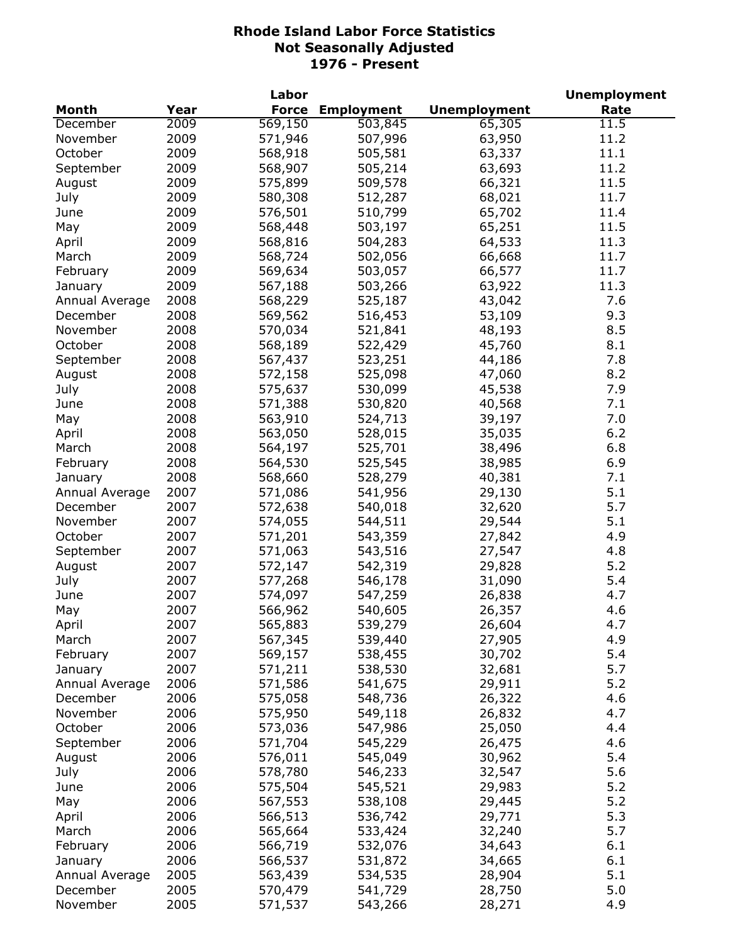|                |      | Labor        |                   |                     | <b>Unemployment</b> |
|----------------|------|--------------|-------------------|---------------------|---------------------|
| Month          | Year | <b>Force</b> | <b>Employment</b> | <b>Unemployment</b> | Rate                |
| December       | 2009 | 569,150      | 503,845           | 65,305              | 11.5                |
| November       | 2009 | 571,946      | 507,996           | 63,950              | 11.2                |
| October        | 2009 | 568,918      | 505,581           | 63,337              | 11.1                |
| September      | 2009 | 568,907      | 505,214           | 63,693              | 11.2                |
| August         | 2009 | 575,899      | 509,578           | 66,321              | 11.5                |
| July           | 2009 | 580,308      | 512,287           | 68,021              | 11.7                |
| June           | 2009 | 576,501      | 510,799           | 65,702              | 11.4                |
| May            | 2009 | 568,448      | 503,197           | 65,251              | 11.5                |
| April          | 2009 | 568,816      | 504,283           | 64,533              | 11.3                |
| March          | 2009 | 568,724      | 502,056           | 66,668              | 11.7                |
| February       | 2009 | 569,634      | 503,057           | 66,577              | 11.7                |
| January        | 2009 | 567,188      | 503,266           | 63,922              | 11.3                |
| Annual Average | 2008 | 568,229      | 525,187           | 43,042              | 7.6                 |
| December       | 2008 | 569,562      | 516,453           | 53,109              | 9.3                 |
| November       | 2008 | 570,034      | 521,841           | 48,193              | 8.5                 |
| October        | 2008 | 568,189      | 522,429           | 45,760              | 8.1                 |
| September      | 2008 | 567,437      | 523,251           | 44,186              | 7.8                 |
|                | 2008 | 572,158      | 525,098           | 47,060              | 8.2                 |
| August         | 2008 |              | 530,099           |                     | 7.9                 |
| July           |      | 575,637      |                   | 45,538              |                     |
| June           | 2008 | 571,388      | 530,820           | 40,568              | 7.1                 |
| May            | 2008 | 563,910      | 524,713           | 39,197              | 7.0                 |
| April          | 2008 | 563,050      | 528,015           | 35,035              | 6.2                 |
| March          | 2008 | 564,197      | 525,701           | 38,496              | 6.8                 |
| February       | 2008 | 564,530      | 525,545           | 38,985              | 6.9                 |
| January        | 2008 | 568,660      | 528,279           | 40,381              | 7.1                 |
| Annual Average | 2007 | 571,086      | 541,956           | 29,130              | 5.1                 |
| December       | 2007 | 572,638      | 540,018           | 32,620              | 5.7                 |
| November       | 2007 | 574,055      | 544,511           | 29,544              | 5.1                 |
| October        | 2007 | 571,201      | 543,359           | 27,842              | 4.9                 |
| September      | 2007 | 571,063      | 543,516           | 27,547              | 4.8                 |
| August         | 2007 | 572,147      | 542,319           | 29,828              | 5.2                 |
| July           | 2007 | 577,268      | 546,178           | 31,090              | 5.4                 |
| June           | 2007 | 574,097      | 547,259           | 26,838              | 4.7                 |
| May            | 2007 | 566,962      | 540,605           | 26,357              | 4.6                 |
| April          | 2007 | 565,883      | 539,279           | 26,604              | 4.7                 |
| March          | 2007 | 567,345      | 539,440           | 27,905              | 4.9                 |
| February       | 2007 | 569,157      | 538,455           | 30,702              | 5.4                 |
| January        | 2007 | 571,211      | 538,530           | 32,681              | 5.7                 |
| Annual Average | 2006 | 571,586      | 541,675           | 29,911              | 5.2                 |
| December       | 2006 | 575,058      | 548,736           | 26,322              | 4.6                 |
| November       | 2006 | 575,950      | 549,118           | 26,832              | 4.7                 |
| October        | 2006 | 573,036      | 547,986           | 25,050              | 4.4                 |
| September      | 2006 | 571,704      | 545,229           | 26,475              | 4.6                 |
| August         | 2006 | 576,011      | 545,049           | 30,962              | 5.4                 |
| July           | 2006 | 578,780      | 546,233           | 32,547              | 5.6                 |
| June           | 2006 | 575,504      | 545,521           | 29,983              | 5.2                 |
| May            | 2006 | 567,553      | 538,108           | 29,445              | 5.2                 |
| April          | 2006 | 566,513      | 536,742           | 29,771              | 5.3                 |
| March          | 2006 | 565,664      | 533,424           | 32,240              | 5.7                 |
| February       | 2006 | 566,719      | 532,076           | 34,643              | 6.1                 |
| January        | 2006 | 566,537      | 531,872           | 34,665              | 6.1                 |
| Annual Average | 2005 | 563,439      | 534,535           | 28,904              | 5.1                 |
| December       | 2005 | 570,479      | 541,729           | 28,750              | 5.0                 |
| November       | 2005 | 571,537      | 543,266           | 28,271              | 4.9                 |
|                |      |              |                   |                     |                     |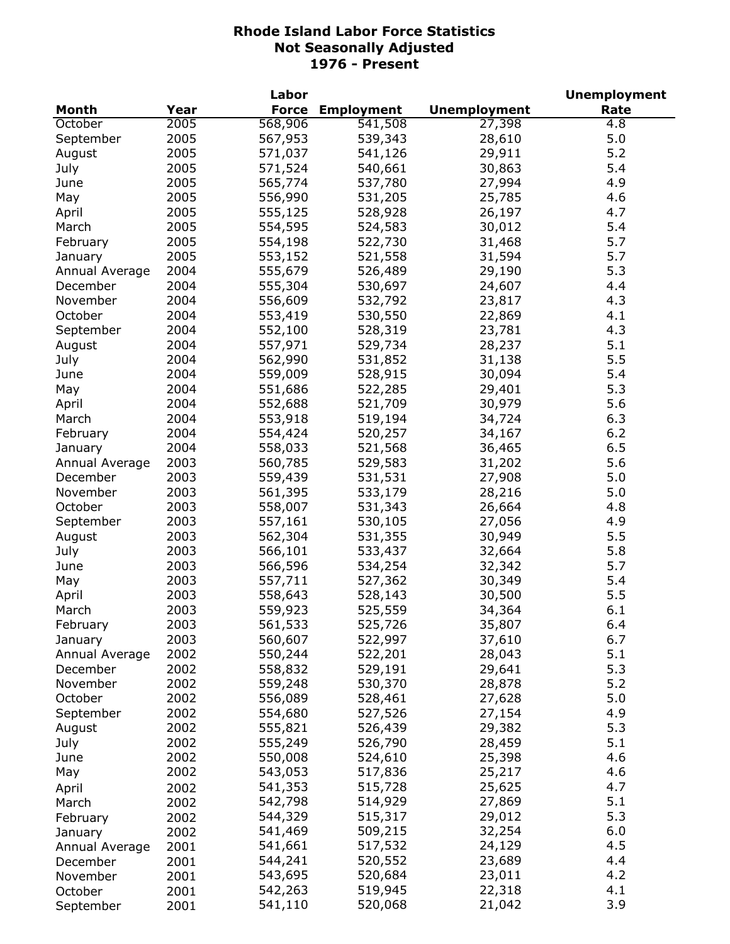|                |              | Labor              |                    |                     | <b>Unemployment</b> |
|----------------|--------------|--------------------|--------------------|---------------------|---------------------|
| Month          | Year         | <b>Force</b>       | <b>Employment</b>  | <b>Unemployment</b> | Rate                |
| October        | 2005         | 568,906            | 541,508            | 27,398              | $\overline{4.8}$    |
| September      | 2005         | 567,953            | 539,343            | 28,610              | 5.0                 |
| August         | 2005         | 571,037            | 541,126            | 29,911              | 5.2                 |
| July           | 2005         | 571,524            | 540,661            | 30,863              | 5.4                 |
| June           | 2005         | 565,774            | 537,780            | 27,994              | 4.9                 |
| May            | 2005         | 556,990            | 531,205            | 25,785              | 4.6                 |
| April          | 2005         | 555,125            | 528,928            | 26,197              | 4.7                 |
| March          | 2005         | 554,595            | 524,583            | 30,012              | 5.4                 |
| February       | 2005         | 554,198            | 522,730            | 31,468              | 5.7                 |
| January        | 2005         | 553,152            | 521,558            | 31,594              | 5.7                 |
| Annual Average | 2004         | 555,679            | 526,489            | 29,190              | 5.3                 |
| December       | 2004         | 555,304            | 530,697            | 24,607              | 4.4                 |
| November       | 2004         | 556,609            | 532,792            | 23,817              | 4.3                 |
| October        | 2004         | 553,419            | 530,550            | 22,869              | 4.1                 |
| September      | 2004         | 552,100            | 528,319            | 23,781              | 4.3                 |
| August         | 2004         | 557,971            | 529,734            | 28,237              | 5.1                 |
| July           | 2004         | 562,990            | 531,852            | 31,138              | 5.5                 |
| June           | 2004         | 559,009            | 528,915            | 30,094              | 5.4                 |
| May            | 2004         | 551,686            | 522,285            | 29,401              | 5.3                 |
| April          | 2004         | 552,688            | 521,709            | 30,979              | 5.6                 |
| March          | 2004         | 553,918            | 519,194            | 34,724              | 6.3                 |
| February       | 2004         | 554,424            | 520,257            | 34,167              | 6.2                 |
| January        | 2004         | 558,033            | 521,568            | 36,465              | 6.5                 |
| Annual Average | 2003         | 560,785            | 529,583            | 31,202              | 5.6                 |
| December       | 2003         |                    | 531,531            | 27,908              | 5.0                 |
|                | 2003         | 559,439            |                    |                     |                     |
| November       |              | 561,395            | 533,179            | 28,216              | 5.0                 |
| October        | 2003         | 558,007            | 531,343            | 26,664              | 4.8                 |
| September      | 2003         | 557,161            | 530,105            | 27,056              | 4.9                 |
| August         | 2003<br>2003 | 562,304            | 531,355<br>533,437 | 30,949              | 5.5<br>5.8          |
| July<br>June   | 2003         | 566,101<br>566,596 | 534,254            | 32,664<br>32,342    | 5.7                 |
|                | 2003         |                    |                    |                     | 5.4                 |
| May            | 2003         | 557,711            | 527,362            | 30,349              | 5.5                 |
| April          |              | 558,643            | 528,143            | 30,500              |                     |
| March          | 2003         | 559,923            | 525,559            | 34,364              | 6.1                 |
| February       | 2003         | 561,533            | 525,726            | 35,807              | 6.4                 |
| January        | 2003         | 560,607            | 522,997            | 37,610              | 6.7                 |
| Annual Average | 2002         | 550,244            | 522,201            | 28,043              | 5.1                 |
| December       | 2002         | 558,832            | 529,191            | 29,641              | 5.3                 |
| November       | 2002         | 559,248            | 530,370            | 28,878              | 5.2                 |
| October        | 2002         | 556,089            | 528,461            | 27,628              | 5.0                 |
| September      | 2002         | 554,680            | 527,526            | 27,154              | 4.9                 |
| August         | 2002         | 555,821            | 526,439            | 29,382              | 5.3                 |
| July           | 2002         | 555,249            | 526,790            | 28,459              | 5.1                 |
| June           | 2002         | 550,008            | 524,610            | 25,398              | 4.6                 |
| May            | 2002         | 543,053            | 517,836            | 25,217              | 4.6                 |
| April          | 2002         | 541,353            | 515,728            | 25,625              | 4.7                 |
| March          | 2002         | 542,798            | 514,929            | 27,869              | 5.1                 |
| February       | 2002         | 544,329            | 515,317            | 29,012              | 5.3                 |
| January        | 2002         | 541,469            | 509,215            | 32,254              | 6.0                 |
| Annual Average | 2001         | 541,661            | 517,532            | 24,129              | 4.5                 |
| December       | 2001         | 544,241            | 520,552            | 23,689              | 4.4                 |
| November       | 2001         | 543,695            | 520,684            | 23,011              | 4.2                 |
| October        | 2001         | 542,263            | 519,945            | 22,318              | 4.1                 |
| September      | 2001         | 541,110            | 520,068            | 21,042              | 3.9                 |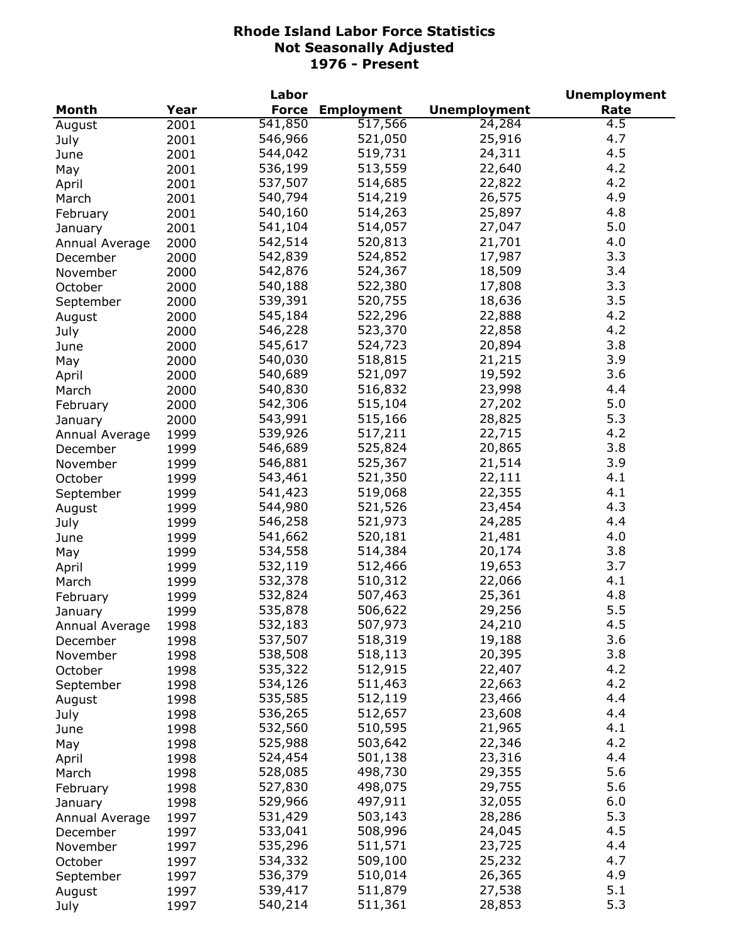|                |      | Labor        |                   |                     | <b>Unemployment</b> |
|----------------|------|--------------|-------------------|---------------------|---------------------|
| Month          | Year | <b>Force</b> | <b>Employment</b> | <b>Unemployment</b> | Rate                |
| August         | 2001 | 541,850      | 517,566           | 24,284              | 4.5                 |
| July           | 2001 | 546,966      | 521,050           | 25,916              | 4.7                 |
| June           | 2001 | 544,042      | 519,731           | 24,311              | 4.5                 |
| May            | 2001 | 536,199      | 513,559           | 22,640              | 4.2                 |
| April          | 2001 | 537,507      | 514,685           | 22,822              | 4.2                 |
| March          | 2001 | 540,794      | 514,219           | 26,575              | 4.9                 |
| February       | 2001 | 540,160      | 514,263           | 25,897              | 4.8                 |
| January        | 2001 | 541,104      | 514,057           | 27,047              | 5.0                 |
| Annual Average | 2000 | 542,514      | 520,813           | 21,701              | 4.0                 |
| December       | 2000 | 542,839      | 524,852           | 17,987              | 3.3                 |
| November       | 2000 | 542,876      | 524,367           | 18,509              | 3.4                 |
| October        | 2000 | 540,188      | 522,380           | 17,808              | 3.3                 |
| September      | 2000 | 539,391      | 520,755           | 18,636              | 3.5                 |
|                |      | 545,184      | 522,296           | 22,888              | 4.2                 |
| August         | 2000 | 546,228      | 523,370           | 22,858              | 4.2                 |
| July           | 2000 |              |                   |                     | 3.8                 |
| June           | 2000 | 545,617      | 524,723           | 20,894              |                     |
| May            | 2000 | 540,030      | 518,815           | 21,215              | 3.9                 |
| April          | 2000 | 540,689      | 521,097           | 19,592              | 3.6                 |
| March          | 2000 | 540,830      | 516,832           | 23,998              | 4.4                 |
| February       | 2000 | 542,306      | 515,104           | 27,202              | 5.0                 |
| January        | 2000 | 543,991      | 515,166           | 28,825              | 5.3                 |
| Annual Average | 1999 | 539,926      | 517,211           | 22,715              | 4.2                 |
| December       | 1999 | 546,689      | 525,824           | 20,865              | 3.8                 |
| November       | 1999 | 546,881      | 525,367           | 21,514              | 3.9                 |
| October        | 1999 | 543,461      | 521,350           | 22,111              | 4.1                 |
| September      | 1999 | 541,423      | 519,068           | 22,355              | 4.1                 |
| August         | 1999 | 544,980      | 521,526           | 23,454              | 4.3                 |
| July           | 1999 | 546,258      | 521,973           | 24,285              | 4.4                 |
| June           | 1999 | 541,662      | 520,181           | 21,481              | 4.0                 |
| May            | 1999 | 534,558      | 514,384           | 20,174              | 3.8                 |
| April          | 1999 | 532,119      | 512,466           | 19,653              | 3.7                 |
| March          | 1999 | 532,378      | 510,312           | 22,066              | 4.1                 |
| February       | 1999 | 532,824      | 507,463           | 25,361              | 4.8                 |
| January        | 1999 | 535,878      | 506,622           | 29,256              | 5.5                 |
| Annual Average | 1998 | 532,183      | 507,973           | 24,210              | 4.5                 |
| December       | 1998 | 537,507      | 518,319           | 19,188              | 3.6                 |
| November       | 1998 | 538,508      | 518,113           | 20,395              | 3.8                 |
| October        | 1998 | 535,322      | 512,915           | 22,407              | 4.2                 |
| September      | 1998 | 534,126      | 511,463           | 22,663              | 4.2                 |
| August         | 1998 | 535,585      | 512,119           | 23,466              | 4.4                 |
|                | 1998 | 536,265      | 512,657           | 23,608              | 4.4                 |
| July           |      | 532,560      | 510,595           | 21,965              | 4.1                 |
| June           | 1998 | 525,988      | 503,642           | 22,346              | 4.2                 |
| May            | 1998 |              |                   |                     |                     |
| April          | 1998 | 524,454      | 501,138           | 23,316              | 4.4                 |
| March          | 1998 | 528,085      | 498,730           | 29,355              | 5.6                 |
| February       | 1998 | 527,830      | 498,075           | 29,755              | 5.6                 |
| January        | 1998 | 529,966      | 497,911           | 32,055              | 6.0                 |
| Annual Average | 1997 | 531,429      | 503,143           | 28,286              | 5.3                 |
| December       | 1997 | 533,041      | 508,996           | 24,045              | 4.5                 |
| November       | 1997 | 535,296      | 511,571           | 23,725              | 4.4                 |
| October        | 1997 | 534,332      | 509,100           | 25,232              | 4.7                 |
| September      | 1997 | 536,379      | 510,014           | 26,365              | 4.9                 |
| August         | 1997 | 539,417      | 511,879           | 27,538              | 5.1                 |
| July           | 1997 | 540,214      | 511,361           | 28,853              | 5.3                 |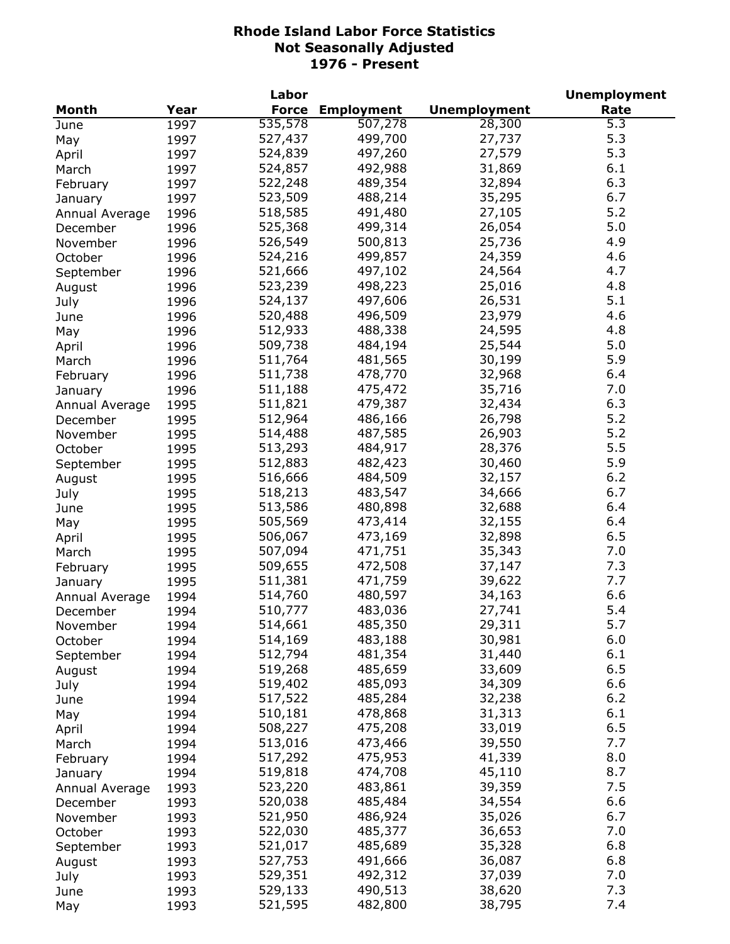|                |      | Labor        |                   |                     | <b>Unemployment</b> |
|----------------|------|--------------|-------------------|---------------------|---------------------|
| Month          | Year | <b>Force</b> | <b>Employment</b> | <b>Unemployment</b> | Rate                |
| June           | 1997 | 535,578      | 507,278           | 28,300              | $\overline{5.3}$    |
| May            | 1997 | 527,437      | 499,700           | 27,737              | 5.3                 |
| April          | 1997 | 524,839      | 497,260           | 27,579              | 5.3                 |
| March          | 1997 | 524,857      | 492,988           | 31,869              | 6.1                 |
| February       | 1997 | 522,248      | 489,354           | 32,894              | 6.3                 |
| January        | 1997 | 523,509      | 488,214           | 35,295              | 6.7                 |
| Annual Average | 1996 | 518,585      | 491,480           | 27,105              | 5.2                 |
| December       | 1996 | 525,368      | 499,314           | 26,054              | 5.0                 |
| November       | 1996 | 526,549      | 500,813           | 25,736              | 4.9                 |
| October        | 1996 | 524,216      | 499,857           | 24,359              | 4.6                 |
| September      | 1996 | 521,666      | 497,102           | 24,564              | 4.7                 |
| August         | 1996 | 523,239      | 498,223           | 25,016              | 4.8                 |
| July           | 1996 | 524,137      | 497,606           | 26,531              | 5.1                 |
| June           | 1996 | 520,488      | 496,509           | 23,979              | 4.6                 |
| May            | 1996 | 512,933      | 488,338           | 24,595              | 4.8                 |
|                | 1996 | 509,738      | 484,194           | 25,544              | 5.0                 |
| April          | 1996 | 511,764      | 481,565           | 30,199              | 5.9                 |
| March          |      |              | 478,770           | 32,968              | 6.4                 |
| February       | 1996 | 511,738      |                   |                     | 7.0                 |
| January        | 1996 | 511,188      | 475,472           | 35,716              |                     |
| Annual Average | 1995 | 511,821      | 479,387           | 32,434              | 6.3                 |
| December       | 1995 | 512,964      | 486,166           | 26,798              | 5.2                 |
| November       | 1995 | 514,488      | 487,585           | 26,903              | 5.2                 |
| October        | 1995 | 513,293      | 484,917           | 28,376              | 5.5                 |
| September      | 1995 | 512,883      | 482,423           | 30,460              | 5.9                 |
| August         | 1995 | 516,666      | 484,509           | 32,157              | 6.2                 |
| July           | 1995 | 518,213      | 483,547           | 34,666              | 6.7                 |
| June           | 1995 | 513,586      | 480,898           | 32,688              | 6.4                 |
| May            | 1995 | 505,569      | 473,414           | 32,155              | 6.4                 |
| April          | 1995 | 506,067      | 473,169           | 32,898              | 6.5                 |
| March          | 1995 | 507,094      | 471,751           | 35,343              | 7.0                 |
| February       | 1995 | 509,655      | 472,508           | 37,147              | 7.3                 |
| January        | 1995 | 511,381      | 471,759           | 39,622              | 7.7                 |
| Annual Average | 1994 | 514,760      | 480,597           | 34,163              | 6.6                 |
| December       | 1994 | 510,777      | 483,036           | 27,741              | 5.4                 |
| November       | 1994 | 514,661      | 485,350           | 29,311              | 5.7                 |
| October        | 1994 | 514,169      | 483,188           | 30,981              | 6.0                 |
| September      | 1994 | 512,794      | 481,354           | 31,440              | 6.1                 |
| August         | 1994 | 519,268      | 485,659           | 33,609              | 6.5                 |
| July           | 1994 | 519,402      | 485,093           | 34,309              | 6.6                 |
| June           | 1994 | 517,522      | 485,284           | 32,238              | $6.2$               |
| May            | 1994 | 510,181      | 478,868           | 31,313              | 6.1                 |
| April          | 1994 | 508,227      | 475,208           | 33,019              | 6.5                 |
| March          | 1994 | 513,016      | 473,466           | 39,550              | 7.7                 |
| February       | 1994 | 517,292      | 475,953           | 41,339              | 8.0                 |
| January        | 1994 | 519,818      | 474,708           | 45,110              | 8.7                 |
| Annual Average | 1993 | 523,220      | 483,861           | 39,359              | 7.5                 |
| December       | 1993 | 520,038      | 485,484           | 34,554              | 6.6                 |
| November       | 1993 | 521,950      | 486,924           | 35,026              | 6.7                 |
| October        | 1993 | 522,030      | 485,377           | 36,653              | 7.0                 |
| September      | 1993 | 521,017      | 485,689           | 35,328              | 6.8                 |
|                | 1993 | 527,753      | 491,666           | 36,087              | 6.8                 |
| August         | 1993 | 529,351      | 492,312           | 37,039              | 7.0                 |
| July           |      | 529,133      | 490,513           | 38,620              | 7.3                 |
| June           | 1993 | 521,595      | 482,800           | 38,795              | 7.4                 |
| May            | 1993 |              |                   |                     |                     |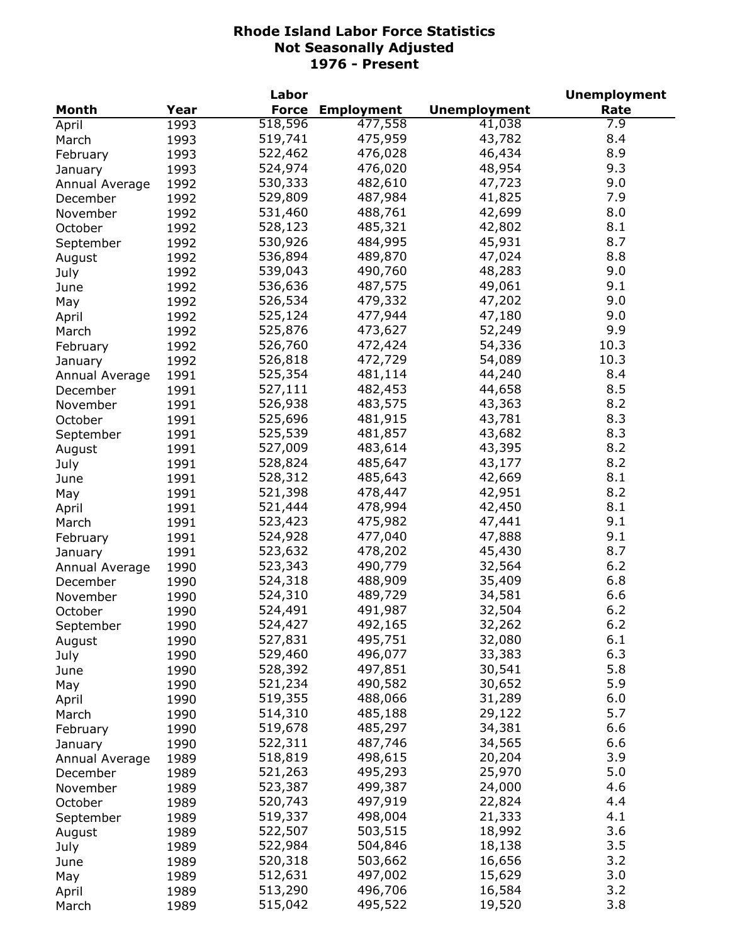| <b>Unemployment</b><br>Rate<br>Month<br>Year<br><b>Force</b><br><b>Employment</b><br>518,596<br>477,558<br>7.9<br>41,038<br>1993<br>April<br>43,782<br>8.4<br>519,741<br>475,959<br>1993<br>March<br>8.9<br>522,462<br>476,028<br>46,434<br>1993<br>February<br>524,974<br>48,954<br>9.3<br>476,020<br>1993<br>January<br>530,333<br>482,610<br>47,723<br>9.0<br>1992<br>Annual Average<br>7.9<br>529,809<br>487,984<br>41,825<br>1992<br>December<br>8.0<br>531,460<br>488,761<br>42,699<br>1992<br>November<br>8.1<br>528,123<br>485,321<br>42,802<br>October<br>1992<br>45,931<br>8.7<br>530,926<br>484,995<br>1992<br>September<br>47,024<br>536,894<br>489,870<br>8.8<br>1992<br>August<br>490,760<br>48,283<br>539,043<br>9.0<br>1992<br>July<br>487,575<br>49,061<br>9.1<br>536,636<br>1992<br>June<br>479,332<br>47,202<br>9.0<br>526,534<br>1992<br>May<br>477,944<br>9.0<br>525,124<br>47,180<br>1992<br>April<br>9.9<br>525,876<br>473,627<br>52,249<br>1992<br>March<br>54,336<br>10.3<br>526,760<br>472,424<br>1992<br>February<br>526,818<br>472,729<br>54,089<br>10.3<br>1992<br>January<br>525,354<br>481,114<br>44,240<br>8.4<br>1991<br>Annual Average<br>527,111<br>482,453<br>44,658<br>8.5<br>1991<br>December<br>526,938<br>483,575<br>43,363<br>8.2<br>1991<br>November<br>8.3<br>525,696<br>481,915<br>43,781<br>October<br>1991<br>8.3<br>525,539<br>481,857<br>43,682<br>1991<br>September<br>8.2<br>527,009<br>483,614<br>43,395<br>1991<br>August<br>8.2<br>528,824<br>485,647<br>43,177<br>1991<br>July<br>8.1<br>528,312<br>485,643<br>42,669<br>1991<br>June<br>521,398<br>42,951<br>8.2<br>478,447<br>1991<br>May<br>42,450<br>8.1<br>521,444<br>478,994<br>1991<br>April<br>475,982<br>47,441<br>9.1<br>523,423<br>1991<br>March<br>524,928<br>477,040<br>47,888<br>9.1<br>1991<br>February<br>8.7<br>523,632<br>478,202<br>45,430<br>1991<br>January<br>6.2<br>523,343<br>490,779<br>32,564<br>1990<br>Annual Average<br>6.8<br>524,318<br>488,909<br>35,409<br>1990<br>December<br>6.6<br>489,729<br>524,310<br>34,581<br>1990<br>November<br>6.2<br>491,987<br>524,491<br>32,504<br>October<br>1990<br>September<br>1990<br>524,427<br>492,165<br>32,262<br>6.2<br>6.1<br>495,751<br>527,831<br>32,080<br>1990<br>August<br>6.3<br>529,460<br>496,077<br>33,383<br>1990<br>July<br>5.8<br>528,392<br>497,851<br>30,541<br>1990<br>June<br>30,652<br>5.9<br>521,234<br>490,582<br>1990<br>May<br>6.0<br>519,355<br>488,066<br>31,289<br>1990<br>April<br>5.7<br>514,310<br>29,122<br>485,188<br>1990<br>March<br>34,381<br>519,678<br>485,297<br>6.6<br>1990<br>February<br>522,311<br>487,746<br>34,565<br>6.6<br>1990<br>January<br>518,819<br>20,204<br>3.9<br>498,615<br>1989<br>Annual Average<br>495,293<br>25,970<br>521,263<br>5.0<br>1989<br>December<br>523,387<br>24,000<br>4.6<br>499,387<br>1989<br>November<br>4.4<br>520,743<br>497,919<br>22,824<br>October<br>1989<br>4.1<br>519,337<br>498,004<br>21,333<br>1989<br>September<br>3.6<br>522,507<br>503,515<br>18,992<br>1989<br>August<br>522,984<br>3.5<br>504,846<br>18,138<br>1989<br>July<br>3.2<br>520,318<br>503,662<br>16,656<br>1989<br>June<br>512,631<br>15,629<br>3.0<br>497,002<br>1989<br>May |       |      | Labor   |         |        | <b>Unemployment</b> |
|-----------------------------------------------------------------------------------------------------------------------------------------------------------------------------------------------------------------------------------------------------------------------------------------------------------------------------------------------------------------------------------------------------------------------------------------------------------------------------------------------------------------------------------------------------------------------------------------------------------------------------------------------------------------------------------------------------------------------------------------------------------------------------------------------------------------------------------------------------------------------------------------------------------------------------------------------------------------------------------------------------------------------------------------------------------------------------------------------------------------------------------------------------------------------------------------------------------------------------------------------------------------------------------------------------------------------------------------------------------------------------------------------------------------------------------------------------------------------------------------------------------------------------------------------------------------------------------------------------------------------------------------------------------------------------------------------------------------------------------------------------------------------------------------------------------------------------------------------------------------------------------------------------------------------------------------------------------------------------------------------------------------------------------------------------------------------------------------------------------------------------------------------------------------------------------------------------------------------------------------------------------------------------------------------------------------------------------------------------------------------------------------------------------------------------------------------------------------------------------------------------------------------------------------------------------------------------------------------------------------------------------------------------------------------------------------------------------------------------------------------------------------------------------------------------------------------------------------------------------------------------------------------------------------------------------------------------------------------------------------------------------------------------------------------------------------------------------------------------------------------------------------------------------------------------------------------------------------|-------|------|---------|---------|--------|---------------------|
|                                                                                                                                                                                                                                                                                                                                                                                                                                                                                                                                                                                                                                                                                                                                                                                                                                                                                                                                                                                                                                                                                                                                                                                                                                                                                                                                                                                                                                                                                                                                                                                                                                                                                                                                                                                                                                                                                                                                                                                                                                                                                                                                                                                                                                                                                                                                                                                                                                                                                                                                                                                                                                                                                                                                                                                                                                                                                                                                                                                                                                                                                                                                                                                                                 |       |      |         |         |        |                     |
|                                                                                                                                                                                                                                                                                                                                                                                                                                                                                                                                                                                                                                                                                                                                                                                                                                                                                                                                                                                                                                                                                                                                                                                                                                                                                                                                                                                                                                                                                                                                                                                                                                                                                                                                                                                                                                                                                                                                                                                                                                                                                                                                                                                                                                                                                                                                                                                                                                                                                                                                                                                                                                                                                                                                                                                                                                                                                                                                                                                                                                                                                                                                                                                                                 |       |      |         |         |        |                     |
|                                                                                                                                                                                                                                                                                                                                                                                                                                                                                                                                                                                                                                                                                                                                                                                                                                                                                                                                                                                                                                                                                                                                                                                                                                                                                                                                                                                                                                                                                                                                                                                                                                                                                                                                                                                                                                                                                                                                                                                                                                                                                                                                                                                                                                                                                                                                                                                                                                                                                                                                                                                                                                                                                                                                                                                                                                                                                                                                                                                                                                                                                                                                                                                                                 |       |      |         |         |        |                     |
|                                                                                                                                                                                                                                                                                                                                                                                                                                                                                                                                                                                                                                                                                                                                                                                                                                                                                                                                                                                                                                                                                                                                                                                                                                                                                                                                                                                                                                                                                                                                                                                                                                                                                                                                                                                                                                                                                                                                                                                                                                                                                                                                                                                                                                                                                                                                                                                                                                                                                                                                                                                                                                                                                                                                                                                                                                                                                                                                                                                                                                                                                                                                                                                                                 |       |      |         |         |        |                     |
|                                                                                                                                                                                                                                                                                                                                                                                                                                                                                                                                                                                                                                                                                                                                                                                                                                                                                                                                                                                                                                                                                                                                                                                                                                                                                                                                                                                                                                                                                                                                                                                                                                                                                                                                                                                                                                                                                                                                                                                                                                                                                                                                                                                                                                                                                                                                                                                                                                                                                                                                                                                                                                                                                                                                                                                                                                                                                                                                                                                                                                                                                                                                                                                                                 |       |      |         |         |        |                     |
|                                                                                                                                                                                                                                                                                                                                                                                                                                                                                                                                                                                                                                                                                                                                                                                                                                                                                                                                                                                                                                                                                                                                                                                                                                                                                                                                                                                                                                                                                                                                                                                                                                                                                                                                                                                                                                                                                                                                                                                                                                                                                                                                                                                                                                                                                                                                                                                                                                                                                                                                                                                                                                                                                                                                                                                                                                                                                                                                                                                                                                                                                                                                                                                                                 |       |      |         |         |        |                     |
|                                                                                                                                                                                                                                                                                                                                                                                                                                                                                                                                                                                                                                                                                                                                                                                                                                                                                                                                                                                                                                                                                                                                                                                                                                                                                                                                                                                                                                                                                                                                                                                                                                                                                                                                                                                                                                                                                                                                                                                                                                                                                                                                                                                                                                                                                                                                                                                                                                                                                                                                                                                                                                                                                                                                                                                                                                                                                                                                                                                                                                                                                                                                                                                                                 |       |      |         |         |        |                     |
|                                                                                                                                                                                                                                                                                                                                                                                                                                                                                                                                                                                                                                                                                                                                                                                                                                                                                                                                                                                                                                                                                                                                                                                                                                                                                                                                                                                                                                                                                                                                                                                                                                                                                                                                                                                                                                                                                                                                                                                                                                                                                                                                                                                                                                                                                                                                                                                                                                                                                                                                                                                                                                                                                                                                                                                                                                                                                                                                                                                                                                                                                                                                                                                                                 |       |      |         |         |        |                     |
|                                                                                                                                                                                                                                                                                                                                                                                                                                                                                                                                                                                                                                                                                                                                                                                                                                                                                                                                                                                                                                                                                                                                                                                                                                                                                                                                                                                                                                                                                                                                                                                                                                                                                                                                                                                                                                                                                                                                                                                                                                                                                                                                                                                                                                                                                                                                                                                                                                                                                                                                                                                                                                                                                                                                                                                                                                                                                                                                                                                                                                                                                                                                                                                                                 |       |      |         |         |        |                     |
|                                                                                                                                                                                                                                                                                                                                                                                                                                                                                                                                                                                                                                                                                                                                                                                                                                                                                                                                                                                                                                                                                                                                                                                                                                                                                                                                                                                                                                                                                                                                                                                                                                                                                                                                                                                                                                                                                                                                                                                                                                                                                                                                                                                                                                                                                                                                                                                                                                                                                                                                                                                                                                                                                                                                                                                                                                                                                                                                                                                                                                                                                                                                                                                                                 |       |      |         |         |        |                     |
|                                                                                                                                                                                                                                                                                                                                                                                                                                                                                                                                                                                                                                                                                                                                                                                                                                                                                                                                                                                                                                                                                                                                                                                                                                                                                                                                                                                                                                                                                                                                                                                                                                                                                                                                                                                                                                                                                                                                                                                                                                                                                                                                                                                                                                                                                                                                                                                                                                                                                                                                                                                                                                                                                                                                                                                                                                                                                                                                                                                                                                                                                                                                                                                                                 |       |      |         |         |        |                     |
|                                                                                                                                                                                                                                                                                                                                                                                                                                                                                                                                                                                                                                                                                                                                                                                                                                                                                                                                                                                                                                                                                                                                                                                                                                                                                                                                                                                                                                                                                                                                                                                                                                                                                                                                                                                                                                                                                                                                                                                                                                                                                                                                                                                                                                                                                                                                                                                                                                                                                                                                                                                                                                                                                                                                                                                                                                                                                                                                                                                                                                                                                                                                                                                                                 |       |      |         |         |        |                     |
|                                                                                                                                                                                                                                                                                                                                                                                                                                                                                                                                                                                                                                                                                                                                                                                                                                                                                                                                                                                                                                                                                                                                                                                                                                                                                                                                                                                                                                                                                                                                                                                                                                                                                                                                                                                                                                                                                                                                                                                                                                                                                                                                                                                                                                                                                                                                                                                                                                                                                                                                                                                                                                                                                                                                                                                                                                                                                                                                                                                                                                                                                                                                                                                                                 |       |      |         |         |        |                     |
|                                                                                                                                                                                                                                                                                                                                                                                                                                                                                                                                                                                                                                                                                                                                                                                                                                                                                                                                                                                                                                                                                                                                                                                                                                                                                                                                                                                                                                                                                                                                                                                                                                                                                                                                                                                                                                                                                                                                                                                                                                                                                                                                                                                                                                                                                                                                                                                                                                                                                                                                                                                                                                                                                                                                                                                                                                                                                                                                                                                                                                                                                                                                                                                                                 |       |      |         |         |        |                     |
|                                                                                                                                                                                                                                                                                                                                                                                                                                                                                                                                                                                                                                                                                                                                                                                                                                                                                                                                                                                                                                                                                                                                                                                                                                                                                                                                                                                                                                                                                                                                                                                                                                                                                                                                                                                                                                                                                                                                                                                                                                                                                                                                                                                                                                                                                                                                                                                                                                                                                                                                                                                                                                                                                                                                                                                                                                                                                                                                                                                                                                                                                                                                                                                                                 |       |      |         |         |        |                     |
|                                                                                                                                                                                                                                                                                                                                                                                                                                                                                                                                                                                                                                                                                                                                                                                                                                                                                                                                                                                                                                                                                                                                                                                                                                                                                                                                                                                                                                                                                                                                                                                                                                                                                                                                                                                                                                                                                                                                                                                                                                                                                                                                                                                                                                                                                                                                                                                                                                                                                                                                                                                                                                                                                                                                                                                                                                                                                                                                                                                                                                                                                                                                                                                                                 |       |      |         |         |        |                     |
|                                                                                                                                                                                                                                                                                                                                                                                                                                                                                                                                                                                                                                                                                                                                                                                                                                                                                                                                                                                                                                                                                                                                                                                                                                                                                                                                                                                                                                                                                                                                                                                                                                                                                                                                                                                                                                                                                                                                                                                                                                                                                                                                                                                                                                                                                                                                                                                                                                                                                                                                                                                                                                                                                                                                                                                                                                                                                                                                                                                                                                                                                                                                                                                                                 |       |      |         |         |        |                     |
|                                                                                                                                                                                                                                                                                                                                                                                                                                                                                                                                                                                                                                                                                                                                                                                                                                                                                                                                                                                                                                                                                                                                                                                                                                                                                                                                                                                                                                                                                                                                                                                                                                                                                                                                                                                                                                                                                                                                                                                                                                                                                                                                                                                                                                                                                                                                                                                                                                                                                                                                                                                                                                                                                                                                                                                                                                                                                                                                                                                                                                                                                                                                                                                                                 |       |      |         |         |        |                     |
|                                                                                                                                                                                                                                                                                                                                                                                                                                                                                                                                                                                                                                                                                                                                                                                                                                                                                                                                                                                                                                                                                                                                                                                                                                                                                                                                                                                                                                                                                                                                                                                                                                                                                                                                                                                                                                                                                                                                                                                                                                                                                                                                                                                                                                                                                                                                                                                                                                                                                                                                                                                                                                                                                                                                                                                                                                                                                                                                                                                                                                                                                                                                                                                                                 |       |      |         |         |        |                     |
|                                                                                                                                                                                                                                                                                                                                                                                                                                                                                                                                                                                                                                                                                                                                                                                                                                                                                                                                                                                                                                                                                                                                                                                                                                                                                                                                                                                                                                                                                                                                                                                                                                                                                                                                                                                                                                                                                                                                                                                                                                                                                                                                                                                                                                                                                                                                                                                                                                                                                                                                                                                                                                                                                                                                                                                                                                                                                                                                                                                                                                                                                                                                                                                                                 |       |      |         |         |        |                     |
|                                                                                                                                                                                                                                                                                                                                                                                                                                                                                                                                                                                                                                                                                                                                                                                                                                                                                                                                                                                                                                                                                                                                                                                                                                                                                                                                                                                                                                                                                                                                                                                                                                                                                                                                                                                                                                                                                                                                                                                                                                                                                                                                                                                                                                                                                                                                                                                                                                                                                                                                                                                                                                                                                                                                                                                                                                                                                                                                                                                                                                                                                                                                                                                                                 |       |      |         |         |        |                     |
|                                                                                                                                                                                                                                                                                                                                                                                                                                                                                                                                                                                                                                                                                                                                                                                                                                                                                                                                                                                                                                                                                                                                                                                                                                                                                                                                                                                                                                                                                                                                                                                                                                                                                                                                                                                                                                                                                                                                                                                                                                                                                                                                                                                                                                                                                                                                                                                                                                                                                                                                                                                                                                                                                                                                                                                                                                                                                                                                                                                                                                                                                                                                                                                                                 |       |      |         |         |        |                     |
|                                                                                                                                                                                                                                                                                                                                                                                                                                                                                                                                                                                                                                                                                                                                                                                                                                                                                                                                                                                                                                                                                                                                                                                                                                                                                                                                                                                                                                                                                                                                                                                                                                                                                                                                                                                                                                                                                                                                                                                                                                                                                                                                                                                                                                                                                                                                                                                                                                                                                                                                                                                                                                                                                                                                                                                                                                                                                                                                                                                                                                                                                                                                                                                                                 |       |      |         |         |        |                     |
|                                                                                                                                                                                                                                                                                                                                                                                                                                                                                                                                                                                                                                                                                                                                                                                                                                                                                                                                                                                                                                                                                                                                                                                                                                                                                                                                                                                                                                                                                                                                                                                                                                                                                                                                                                                                                                                                                                                                                                                                                                                                                                                                                                                                                                                                                                                                                                                                                                                                                                                                                                                                                                                                                                                                                                                                                                                                                                                                                                                                                                                                                                                                                                                                                 |       |      |         |         |        |                     |
|                                                                                                                                                                                                                                                                                                                                                                                                                                                                                                                                                                                                                                                                                                                                                                                                                                                                                                                                                                                                                                                                                                                                                                                                                                                                                                                                                                                                                                                                                                                                                                                                                                                                                                                                                                                                                                                                                                                                                                                                                                                                                                                                                                                                                                                                                                                                                                                                                                                                                                                                                                                                                                                                                                                                                                                                                                                                                                                                                                                                                                                                                                                                                                                                                 |       |      |         |         |        |                     |
|                                                                                                                                                                                                                                                                                                                                                                                                                                                                                                                                                                                                                                                                                                                                                                                                                                                                                                                                                                                                                                                                                                                                                                                                                                                                                                                                                                                                                                                                                                                                                                                                                                                                                                                                                                                                                                                                                                                                                                                                                                                                                                                                                                                                                                                                                                                                                                                                                                                                                                                                                                                                                                                                                                                                                                                                                                                                                                                                                                                                                                                                                                                                                                                                                 |       |      |         |         |        |                     |
|                                                                                                                                                                                                                                                                                                                                                                                                                                                                                                                                                                                                                                                                                                                                                                                                                                                                                                                                                                                                                                                                                                                                                                                                                                                                                                                                                                                                                                                                                                                                                                                                                                                                                                                                                                                                                                                                                                                                                                                                                                                                                                                                                                                                                                                                                                                                                                                                                                                                                                                                                                                                                                                                                                                                                                                                                                                                                                                                                                                                                                                                                                                                                                                                                 |       |      |         |         |        |                     |
|                                                                                                                                                                                                                                                                                                                                                                                                                                                                                                                                                                                                                                                                                                                                                                                                                                                                                                                                                                                                                                                                                                                                                                                                                                                                                                                                                                                                                                                                                                                                                                                                                                                                                                                                                                                                                                                                                                                                                                                                                                                                                                                                                                                                                                                                                                                                                                                                                                                                                                                                                                                                                                                                                                                                                                                                                                                                                                                                                                                                                                                                                                                                                                                                                 |       |      |         |         |        |                     |
|                                                                                                                                                                                                                                                                                                                                                                                                                                                                                                                                                                                                                                                                                                                                                                                                                                                                                                                                                                                                                                                                                                                                                                                                                                                                                                                                                                                                                                                                                                                                                                                                                                                                                                                                                                                                                                                                                                                                                                                                                                                                                                                                                                                                                                                                                                                                                                                                                                                                                                                                                                                                                                                                                                                                                                                                                                                                                                                                                                                                                                                                                                                                                                                                                 |       |      |         |         |        |                     |
|                                                                                                                                                                                                                                                                                                                                                                                                                                                                                                                                                                                                                                                                                                                                                                                                                                                                                                                                                                                                                                                                                                                                                                                                                                                                                                                                                                                                                                                                                                                                                                                                                                                                                                                                                                                                                                                                                                                                                                                                                                                                                                                                                                                                                                                                                                                                                                                                                                                                                                                                                                                                                                                                                                                                                                                                                                                                                                                                                                                                                                                                                                                                                                                                                 |       |      |         |         |        |                     |
|                                                                                                                                                                                                                                                                                                                                                                                                                                                                                                                                                                                                                                                                                                                                                                                                                                                                                                                                                                                                                                                                                                                                                                                                                                                                                                                                                                                                                                                                                                                                                                                                                                                                                                                                                                                                                                                                                                                                                                                                                                                                                                                                                                                                                                                                                                                                                                                                                                                                                                                                                                                                                                                                                                                                                                                                                                                                                                                                                                                                                                                                                                                                                                                                                 |       |      |         |         |        |                     |
|                                                                                                                                                                                                                                                                                                                                                                                                                                                                                                                                                                                                                                                                                                                                                                                                                                                                                                                                                                                                                                                                                                                                                                                                                                                                                                                                                                                                                                                                                                                                                                                                                                                                                                                                                                                                                                                                                                                                                                                                                                                                                                                                                                                                                                                                                                                                                                                                                                                                                                                                                                                                                                                                                                                                                                                                                                                                                                                                                                                                                                                                                                                                                                                                                 |       |      |         |         |        |                     |
|                                                                                                                                                                                                                                                                                                                                                                                                                                                                                                                                                                                                                                                                                                                                                                                                                                                                                                                                                                                                                                                                                                                                                                                                                                                                                                                                                                                                                                                                                                                                                                                                                                                                                                                                                                                                                                                                                                                                                                                                                                                                                                                                                                                                                                                                                                                                                                                                                                                                                                                                                                                                                                                                                                                                                                                                                                                                                                                                                                                                                                                                                                                                                                                                                 |       |      |         |         |        |                     |
|                                                                                                                                                                                                                                                                                                                                                                                                                                                                                                                                                                                                                                                                                                                                                                                                                                                                                                                                                                                                                                                                                                                                                                                                                                                                                                                                                                                                                                                                                                                                                                                                                                                                                                                                                                                                                                                                                                                                                                                                                                                                                                                                                                                                                                                                                                                                                                                                                                                                                                                                                                                                                                                                                                                                                                                                                                                                                                                                                                                                                                                                                                                                                                                                                 |       |      |         |         |        |                     |
|                                                                                                                                                                                                                                                                                                                                                                                                                                                                                                                                                                                                                                                                                                                                                                                                                                                                                                                                                                                                                                                                                                                                                                                                                                                                                                                                                                                                                                                                                                                                                                                                                                                                                                                                                                                                                                                                                                                                                                                                                                                                                                                                                                                                                                                                                                                                                                                                                                                                                                                                                                                                                                                                                                                                                                                                                                                                                                                                                                                                                                                                                                                                                                                                                 |       |      |         |         |        |                     |
|                                                                                                                                                                                                                                                                                                                                                                                                                                                                                                                                                                                                                                                                                                                                                                                                                                                                                                                                                                                                                                                                                                                                                                                                                                                                                                                                                                                                                                                                                                                                                                                                                                                                                                                                                                                                                                                                                                                                                                                                                                                                                                                                                                                                                                                                                                                                                                                                                                                                                                                                                                                                                                                                                                                                                                                                                                                                                                                                                                                                                                                                                                                                                                                                                 |       |      |         |         |        |                     |
|                                                                                                                                                                                                                                                                                                                                                                                                                                                                                                                                                                                                                                                                                                                                                                                                                                                                                                                                                                                                                                                                                                                                                                                                                                                                                                                                                                                                                                                                                                                                                                                                                                                                                                                                                                                                                                                                                                                                                                                                                                                                                                                                                                                                                                                                                                                                                                                                                                                                                                                                                                                                                                                                                                                                                                                                                                                                                                                                                                                                                                                                                                                                                                                                                 |       |      |         |         |        |                     |
|                                                                                                                                                                                                                                                                                                                                                                                                                                                                                                                                                                                                                                                                                                                                                                                                                                                                                                                                                                                                                                                                                                                                                                                                                                                                                                                                                                                                                                                                                                                                                                                                                                                                                                                                                                                                                                                                                                                                                                                                                                                                                                                                                                                                                                                                                                                                                                                                                                                                                                                                                                                                                                                                                                                                                                                                                                                                                                                                                                                                                                                                                                                                                                                                                 |       |      |         |         |        |                     |
|                                                                                                                                                                                                                                                                                                                                                                                                                                                                                                                                                                                                                                                                                                                                                                                                                                                                                                                                                                                                                                                                                                                                                                                                                                                                                                                                                                                                                                                                                                                                                                                                                                                                                                                                                                                                                                                                                                                                                                                                                                                                                                                                                                                                                                                                                                                                                                                                                                                                                                                                                                                                                                                                                                                                                                                                                                                                                                                                                                                                                                                                                                                                                                                                                 |       |      |         |         |        |                     |
|                                                                                                                                                                                                                                                                                                                                                                                                                                                                                                                                                                                                                                                                                                                                                                                                                                                                                                                                                                                                                                                                                                                                                                                                                                                                                                                                                                                                                                                                                                                                                                                                                                                                                                                                                                                                                                                                                                                                                                                                                                                                                                                                                                                                                                                                                                                                                                                                                                                                                                                                                                                                                                                                                                                                                                                                                                                                                                                                                                                                                                                                                                                                                                                                                 |       |      |         |         |        |                     |
|                                                                                                                                                                                                                                                                                                                                                                                                                                                                                                                                                                                                                                                                                                                                                                                                                                                                                                                                                                                                                                                                                                                                                                                                                                                                                                                                                                                                                                                                                                                                                                                                                                                                                                                                                                                                                                                                                                                                                                                                                                                                                                                                                                                                                                                                                                                                                                                                                                                                                                                                                                                                                                                                                                                                                                                                                                                                                                                                                                                                                                                                                                                                                                                                                 |       |      |         |         |        |                     |
|                                                                                                                                                                                                                                                                                                                                                                                                                                                                                                                                                                                                                                                                                                                                                                                                                                                                                                                                                                                                                                                                                                                                                                                                                                                                                                                                                                                                                                                                                                                                                                                                                                                                                                                                                                                                                                                                                                                                                                                                                                                                                                                                                                                                                                                                                                                                                                                                                                                                                                                                                                                                                                                                                                                                                                                                                                                                                                                                                                                                                                                                                                                                                                                                                 |       |      |         |         |        |                     |
|                                                                                                                                                                                                                                                                                                                                                                                                                                                                                                                                                                                                                                                                                                                                                                                                                                                                                                                                                                                                                                                                                                                                                                                                                                                                                                                                                                                                                                                                                                                                                                                                                                                                                                                                                                                                                                                                                                                                                                                                                                                                                                                                                                                                                                                                                                                                                                                                                                                                                                                                                                                                                                                                                                                                                                                                                                                                                                                                                                                                                                                                                                                                                                                                                 |       |      |         |         |        |                     |
|                                                                                                                                                                                                                                                                                                                                                                                                                                                                                                                                                                                                                                                                                                                                                                                                                                                                                                                                                                                                                                                                                                                                                                                                                                                                                                                                                                                                                                                                                                                                                                                                                                                                                                                                                                                                                                                                                                                                                                                                                                                                                                                                                                                                                                                                                                                                                                                                                                                                                                                                                                                                                                                                                                                                                                                                                                                                                                                                                                                                                                                                                                                                                                                                                 |       |      |         |         |        |                     |
|                                                                                                                                                                                                                                                                                                                                                                                                                                                                                                                                                                                                                                                                                                                                                                                                                                                                                                                                                                                                                                                                                                                                                                                                                                                                                                                                                                                                                                                                                                                                                                                                                                                                                                                                                                                                                                                                                                                                                                                                                                                                                                                                                                                                                                                                                                                                                                                                                                                                                                                                                                                                                                                                                                                                                                                                                                                                                                                                                                                                                                                                                                                                                                                                                 |       |      |         |         |        |                     |
|                                                                                                                                                                                                                                                                                                                                                                                                                                                                                                                                                                                                                                                                                                                                                                                                                                                                                                                                                                                                                                                                                                                                                                                                                                                                                                                                                                                                                                                                                                                                                                                                                                                                                                                                                                                                                                                                                                                                                                                                                                                                                                                                                                                                                                                                                                                                                                                                                                                                                                                                                                                                                                                                                                                                                                                                                                                                                                                                                                                                                                                                                                                                                                                                                 |       |      |         |         |        |                     |
|                                                                                                                                                                                                                                                                                                                                                                                                                                                                                                                                                                                                                                                                                                                                                                                                                                                                                                                                                                                                                                                                                                                                                                                                                                                                                                                                                                                                                                                                                                                                                                                                                                                                                                                                                                                                                                                                                                                                                                                                                                                                                                                                                                                                                                                                                                                                                                                                                                                                                                                                                                                                                                                                                                                                                                                                                                                                                                                                                                                                                                                                                                                                                                                                                 |       |      |         |         |        |                     |
|                                                                                                                                                                                                                                                                                                                                                                                                                                                                                                                                                                                                                                                                                                                                                                                                                                                                                                                                                                                                                                                                                                                                                                                                                                                                                                                                                                                                                                                                                                                                                                                                                                                                                                                                                                                                                                                                                                                                                                                                                                                                                                                                                                                                                                                                                                                                                                                                                                                                                                                                                                                                                                                                                                                                                                                                                                                                                                                                                                                                                                                                                                                                                                                                                 |       |      |         |         |        |                     |
|                                                                                                                                                                                                                                                                                                                                                                                                                                                                                                                                                                                                                                                                                                                                                                                                                                                                                                                                                                                                                                                                                                                                                                                                                                                                                                                                                                                                                                                                                                                                                                                                                                                                                                                                                                                                                                                                                                                                                                                                                                                                                                                                                                                                                                                                                                                                                                                                                                                                                                                                                                                                                                                                                                                                                                                                                                                                                                                                                                                                                                                                                                                                                                                                                 |       |      |         |         |        |                     |
|                                                                                                                                                                                                                                                                                                                                                                                                                                                                                                                                                                                                                                                                                                                                                                                                                                                                                                                                                                                                                                                                                                                                                                                                                                                                                                                                                                                                                                                                                                                                                                                                                                                                                                                                                                                                                                                                                                                                                                                                                                                                                                                                                                                                                                                                                                                                                                                                                                                                                                                                                                                                                                                                                                                                                                                                                                                                                                                                                                                                                                                                                                                                                                                                                 |       |      |         |         |        |                     |
|                                                                                                                                                                                                                                                                                                                                                                                                                                                                                                                                                                                                                                                                                                                                                                                                                                                                                                                                                                                                                                                                                                                                                                                                                                                                                                                                                                                                                                                                                                                                                                                                                                                                                                                                                                                                                                                                                                                                                                                                                                                                                                                                                                                                                                                                                                                                                                                                                                                                                                                                                                                                                                                                                                                                                                                                                                                                                                                                                                                                                                                                                                                                                                                                                 |       |      |         |         |        |                     |
|                                                                                                                                                                                                                                                                                                                                                                                                                                                                                                                                                                                                                                                                                                                                                                                                                                                                                                                                                                                                                                                                                                                                                                                                                                                                                                                                                                                                                                                                                                                                                                                                                                                                                                                                                                                                                                                                                                                                                                                                                                                                                                                                                                                                                                                                                                                                                                                                                                                                                                                                                                                                                                                                                                                                                                                                                                                                                                                                                                                                                                                                                                                                                                                                                 |       |      |         |         |        |                     |
|                                                                                                                                                                                                                                                                                                                                                                                                                                                                                                                                                                                                                                                                                                                                                                                                                                                                                                                                                                                                                                                                                                                                                                                                                                                                                                                                                                                                                                                                                                                                                                                                                                                                                                                                                                                                                                                                                                                                                                                                                                                                                                                                                                                                                                                                                                                                                                                                                                                                                                                                                                                                                                                                                                                                                                                                                                                                                                                                                                                                                                                                                                                                                                                                                 |       |      |         |         |        |                     |
|                                                                                                                                                                                                                                                                                                                                                                                                                                                                                                                                                                                                                                                                                                                                                                                                                                                                                                                                                                                                                                                                                                                                                                                                                                                                                                                                                                                                                                                                                                                                                                                                                                                                                                                                                                                                                                                                                                                                                                                                                                                                                                                                                                                                                                                                                                                                                                                                                                                                                                                                                                                                                                                                                                                                                                                                                                                                                                                                                                                                                                                                                                                                                                                                                 |       |      |         |         |        |                     |
|                                                                                                                                                                                                                                                                                                                                                                                                                                                                                                                                                                                                                                                                                                                                                                                                                                                                                                                                                                                                                                                                                                                                                                                                                                                                                                                                                                                                                                                                                                                                                                                                                                                                                                                                                                                                                                                                                                                                                                                                                                                                                                                                                                                                                                                                                                                                                                                                                                                                                                                                                                                                                                                                                                                                                                                                                                                                                                                                                                                                                                                                                                                                                                                                                 | April | 1989 | 513,290 | 496,706 | 16,584 | 3.2                 |
| 495,522<br>19,520<br>3.8<br>515,042<br>1989<br>March                                                                                                                                                                                                                                                                                                                                                                                                                                                                                                                                                                                                                                                                                                                                                                                                                                                                                                                                                                                                                                                                                                                                                                                                                                                                                                                                                                                                                                                                                                                                                                                                                                                                                                                                                                                                                                                                                                                                                                                                                                                                                                                                                                                                                                                                                                                                                                                                                                                                                                                                                                                                                                                                                                                                                                                                                                                                                                                                                                                                                                                                                                                                                            |       |      |         |         |        |                     |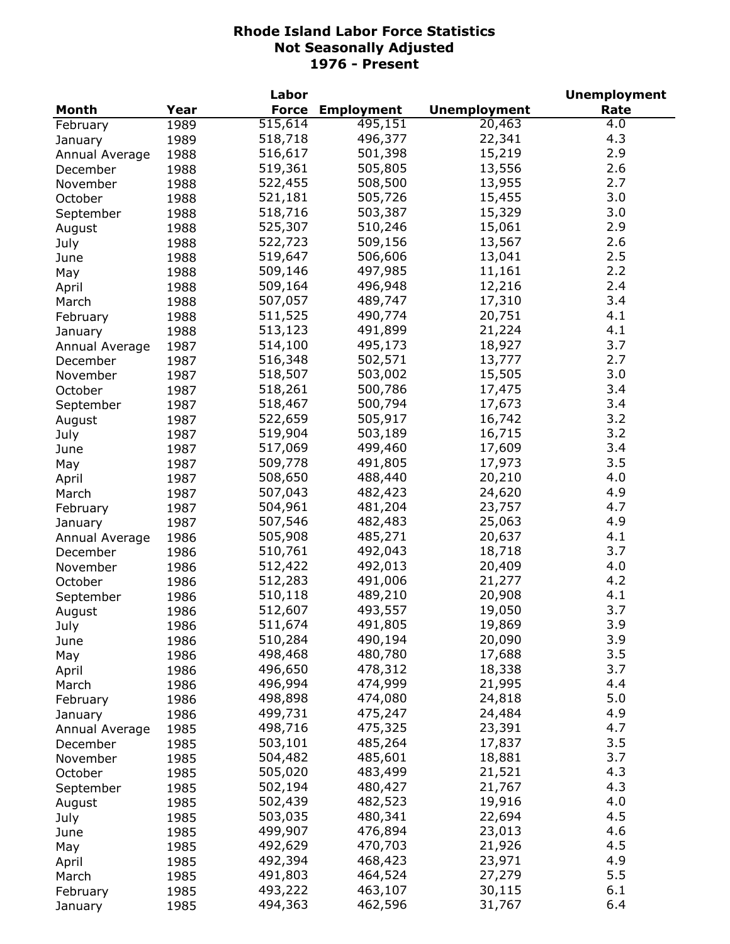|                |      | Labor        |                   |                     | <b>Unemployment</b> |
|----------------|------|--------------|-------------------|---------------------|---------------------|
| <b>Month</b>   | Year | <b>Force</b> | <b>Employment</b> | <b>Unemployment</b> | Rate                |
| February       | 1989 | 515,614      | 495,151           | 20,463              | 4.0                 |
| January        | 1989 | 518,718      | 496,377           | 22,341              | 4.3                 |
| Annual Average | 1988 | 516,617      | 501,398           | 15,219              | 2.9                 |
| December       | 1988 | 519,361      | 505,805           | 13,556              | 2.6                 |
| November       | 1988 | 522,455      | 508,500           | 13,955              | 2.7                 |
| October        | 1988 | 521,181      | 505,726           | 15,455              | 3.0                 |
| September      | 1988 | 518,716      | 503,387           | 15,329              | 3.0                 |
| August         | 1988 | 525,307      | 510,246           | 15,061              | 2.9                 |
| July           | 1988 | 522,723      | 509,156           | 13,567              | 2.6                 |
| June           | 1988 | 519,647      | 506,606           | 13,041              | 2.5                 |
| May            | 1988 | 509,146      | 497,985           | 11,161              | 2.2                 |
| April          | 1988 | 509,164      | 496,948           | 12,216              | 2.4                 |
| March          |      | 507,057      | 489,747           | 17,310              | 3.4                 |
|                | 1988 | 511,525      | 490,774           | 20,751              | 4.1                 |
| February       | 1988 |              |                   |                     | 4.1                 |
| January        | 1988 | 513,123      | 491,899           | 21,224              | 3.7                 |
| Annual Average | 1987 | 514,100      | 495,173           | 18,927              |                     |
| December       | 1987 | 516,348      | 502,571           | 13,777              | 2.7                 |
| November       | 1987 | 518,507      | 503,002           | 15,505              | 3.0                 |
| October        | 1987 | 518,261      | 500,786           | 17,475              | 3.4                 |
| September      | 1987 | 518,467      | 500,794           | 17,673              | 3.4                 |
| August         | 1987 | 522,659      | 505,917           | 16,742              | 3.2                 |
| July           | 1987 | 519,904      | 503,189           | 16,715              | 3.2                 |
| June           | 1987 | 517,069      | 499,460           | 17,609              | 3.4                 |
| May            | 1987 | 509,778      | 491,805           | 17,973              | 3.5                 |
| April          | 1987 | 508,650      | 488,440           | 20,210              | 4.0                 |
| March          | 1987 | 507,043      | 482,423           | 24,620              | 4.9                 |
| February       | 1987 | 504,961      | 481,204           | 23,757              | 4.7                 |
| January        | 1987 | 507,546      | 482,483           | 25,063              | 4.9                 |
| Annual Average | 1986 | 505,908      | 485,271           | 20,637              | 4.1                 |
| December       | 1986 | 510,761      | 492,043           | 18,718              | 3.7                 |
| November       | 1986 | 512,422      | 492,013           | 20,409              | 4.0                 |
| October        | 1986 | 512,283      | 491,006           | 21,277              | 4.2                 |
| September      | 1986 | 510,118      | 489,210           | 20,908              | 4.1                 |
| August         | 1986 | 512,607      | 493,557           | 19,050              | 3.7                 |
| July           | 1986 | 511,674      | 491,805           | 19,869              | 3.9                 |
| June           | 1986 | 510,284      | 490,194           | 20,090              | 3.9                 |
| May            | 1986 | 498,468      | 480,780           | 17,688              | 3.5                 |
| April          | 1986 | 496,650      | 478,312           | 18,338              | 3.7                 |
| March          | 1986 | 496,994      | 474,999           | 21,995              | 4.4                 |
| February       | 1986 | 498,898      | 474,080           | 24,818              | 5.0                 |
| January        | 1986 | 499,731      | 475,247           | 24,484              | 4.9                 |
| Annual Average | 1985 | 498,716      | 475,325           | 23,391              | 4.7                 |
| December       | 1985 | 503,101      | 485,264           | 17,837              | 3.5                 |
| November       | 1985 | 504,482      | 485,601           | 18,881              | 3.7                 |
|                |      | 505,020      | 483,499           | 21,521              | 4.3                 |
| October        | 1985 | 502,194      | 480,427           | 21,767              | 4.3                 |
| September      | 1985 |              |                   |                     | 4.0                 |
| August         | 1985 | 502,439      | 482,523           | 19,916              |                     |
| July           | 1985 | 503,035      | 480,341           | 22,694              | 4.5                 |
| June           | 1985 | 499,907      | 476,894           | 23,013              | 4.6                 |
| May            | 1985 | 492,629      | 470,703           | 21,926              | 4.5                 |
| April          | 1985 | 492,394      | 468,423           | 23,971              | 4.9                 |
| March          | 1985 | 491,803      | 464,524           | 27,279              | 5.5                 |
| February       | 1985 | 493,222      | 463,107           | 30,115              | 6.1                 |
| January        | 1985 | 494,363      | 462,596           | 31,767              | 6.4                 |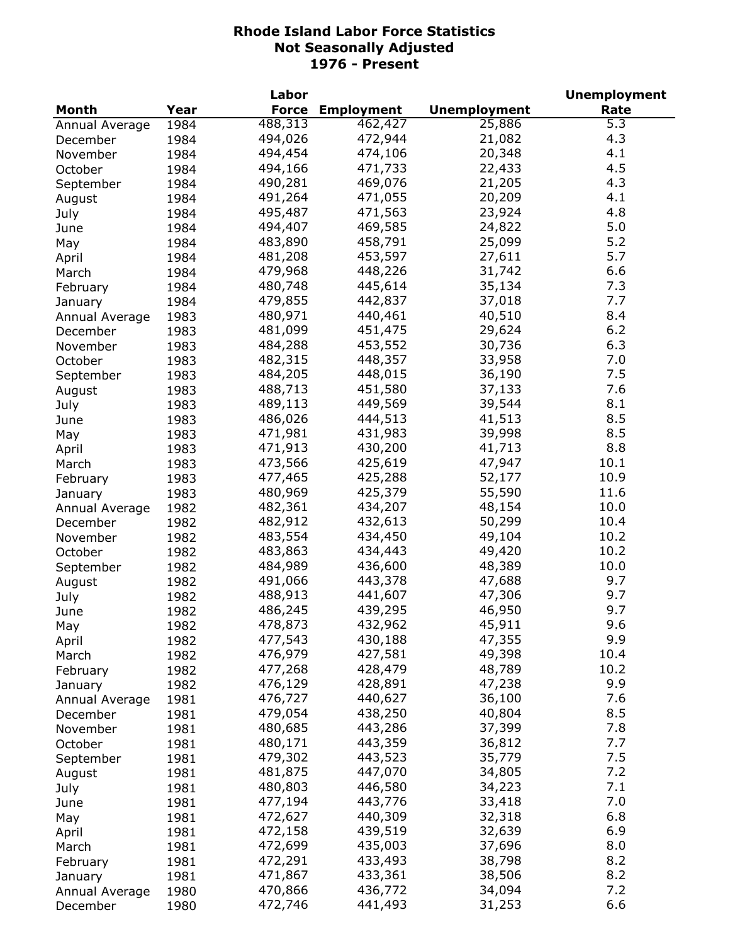|                |      | Labor        |                   |                     | <b>Unemployment</b> |
|----------------|------|--------------|-------------------|---------------------|---------------------|
| Month          | Year | <b>Force</b> | <b>Employment</b> | <b>Unemployment</b> | Rate                |
| Annual Average | 1984 | 488,313      | 462,427           | 25,886              | $\overline{5.3}$    |
| December       | 1984 | 494,026      | 472,944           | 21,082              | 4.3                 |
| November       | 1984 | 494,454      | 474,106           | 20,348              | 4.1                 |
| October        | 1984 | 494,166      | 471,733           | 22,433              | 4.5                 |
| September      | 1984 | 490,281      | 469,076           | 21,205              | 4.3                 |
| August         | 1984 | 491,264      | 471,055           | 20,209              | 4.1                 |
| July           | 1984 | 495,487      | 471,563           | 23,924              | 4.8                 |
| June           | 1984 | 494,407      | 469,585           | 24,822              | 5.0                 |
| May            | 1984 | 483,890      | 458,791           | 25,099              | 5.2                 |
| April          | 1984 | 481,208      | 453,597           | 27,611              | 5.7                 |
| March          | 1984 | 479,968      | 448,226           | 31,742              | 6.6                 |
|                | 1984 | 480,748      | 445,614           | 35,134              | 7.3                 |
| February       |      | 479,855      | 442,837           | 37,018              | 7.7                 |
| January        | 1984 |              |                   |                     |                     |
| Annual Average | 1983 | 480,971      | 440,461           | 40,510              | 8.4<br>6.2          |
| December       | 1983 | 481,099      | 451,475           | 29,624              |                     |
| November       | 1983 | 484,288      | 453,552           | 30,736              | 6.3                 |
| October        | 1983 | 482,315      | 448,357           | 33,958              | 7.0                 |
| September      | 1983 | 484,205      | 448,015           | 36,190              | 7.5                 |
| August         | 1983 | 488,713      | 451,580           | 37,133              | 7.6                 |
| July           | 1983 | 489,113      | 449,569           | 39,544              | 8.1                 |
| June           | 1983 | 486,026      | 444,513           | 41,513              | 8.5                 |
| May            | 1983 | 471,981      | 431,983           | 39,998              | 8.5                 |
| April          | 1983 | 471,913      | 430,200           | 41,713              | 8.8                 |
| March          | 1983 | 473,566      | 425,619           | 47,947              | 10.1                |
| February       | 1983 | 477,465      | 425,288           | 52,177              | 10.9                |
| January        | 1983 | 480,969      | 425,379           | 55,590              | 11.6                |
| Annual Average | 1982 | 482,361      | 434,207           | 48,154              | 10.0                |
| December       | 1982 | 482,912      | 432,613           | 50,299              | 10.4                |
| November       | 1982 | 483,554      | 434,450           | 49,104              | 10.2                |
| October        | 1982 | 483,863      | 434,443           | 49,420              | 10.2                |
| September      | 1982 | 484,989      | 436,600           | 48,389              | 10.0                |
| August         | 1982 | 491,066      | 443,378           | 47,688              | 9.7                 |
| July           | 1982 | 488,913      | 441,607           | 47,306              | 9.7                 |
| June           | 1982 | 486,245      | 439,295           | 46,950              | 9.7                 |
| May            | 1982 | 478,873      | 432,962           | 45,911              | 9.6                 |
|                | 1982 | 477,543      | 430,188           | 47,355              | 9.9                 |
| April<br>March | 1982 | 476,979      | 427,581           | 49,398              | 10.4                |
|                | 1982 | 477,268      | 428,479           | 48,789              | 10.2                |
| February       |      | 476,129      | 428,891           | 47,238              | 9.9                 |
| January        | 1982 |              | 440,627           |                     | 7.6                 |
| Annual Average | 1981 | 476,727      |                   | 36,100              |                     |
| December       | 1981 | 479,054      | 438,250           | 40,804              | 8.5                 |
| November       | 1981 | 480,685      | 443,286           | 37,399              | 7.8                 |
| October        | 1981 | 480,171      | 443,359           | 36,812              | 7.7                 |
| September      | 1981 | 479,302      | 443,523           | 35,779              | 7.5                 |
| August         | 1981 | 481,875      | 447,070           | 34,805              | 7.2                 |
| July           | 1981 | 480,803      | 446,580           | 34,223              | 7.1                 |
| June           | 1981 | 477,194      | 443,776           | 33,418              | 7.0                 |
| May            | 1981 | 472,627      | 440,309           | 32,318              | 6.8                 |
| April          | 1981 | 472,158      | 439,519           | 32,639              | 6.9                 |
| March          | 1981 | 472,699      | 435,003           | 37,696              | 8.0                 |
| February       | 1981 | 472,291      | 433,493           | 38,798              | 8.2                 |
| January        | 1981 | 471,867      | 433,361           | 38,506              | 8.2                 |
| Annual Average | 1980 | 470,866      | 436,772           | 34,094              | 7.2                 |
| December       | 1980 | 472,746      | 441,493           | 31,253              | 6.6                 |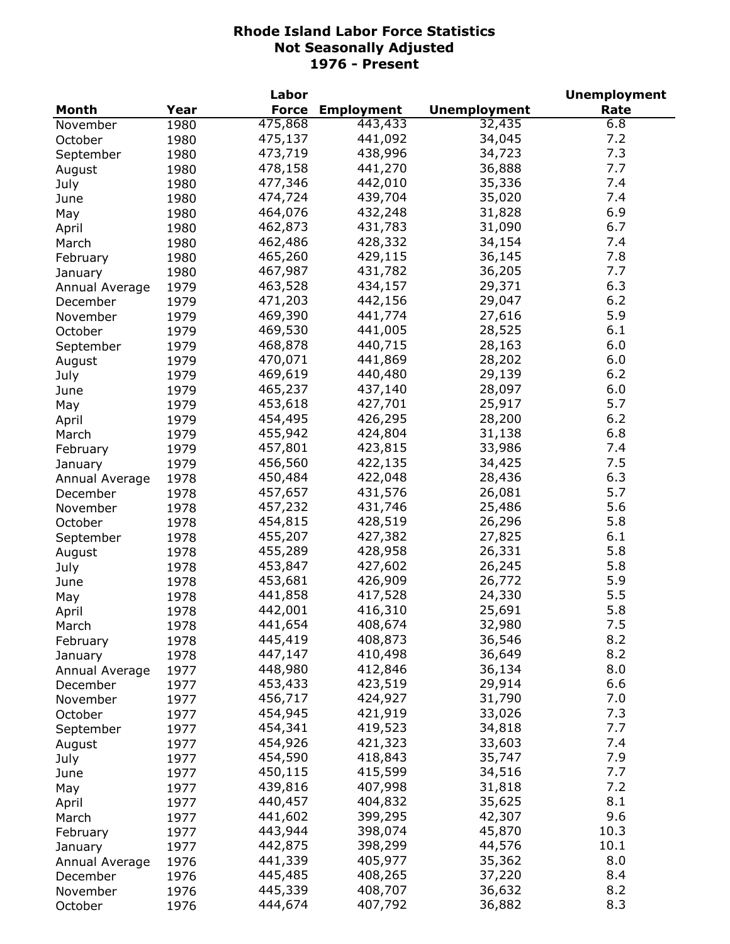|                |      | Labor        |                   |                     | <b>Unemployment</b> |
|----------------|------|--------------|-------------------|---------------------|---------------------|
| <b>Month</b>   | Year | <b>Force</b> | <b>Employment</b> | <b>Unemployment</b> | Rate                |
| November       | 1980 | 475,868      | 443, 433          | 32,435              | 6.8                 |
| October        | 1980 | 475,137      | 441,092           | 34,045              | 7.2                 |
| September      | 1980 | 473,719      | 438,996           | 34,723              | 7.3                 |
| August         | 1980 | 478,158      | 441,270           | 36,888              | 7.7                 |
| July           | 1980 | 477,346      | 442,010           | 35,336              | 7.4                 |
| June           | 1980 | 474,724      | 439,704           | 35,020              | 7.4                 |
| May            | 1980 | 464,076      | 432,248           | 31,828              | 6.9                 |
| April          | 1980 | 462,873      | 431,783           | 31,090              | 6.7                 |
| March          | 1980 | 462,486      | 428,332           | 34,154              | 7.4                 |
| February       | 1980 | 465,260      | 429,115           | 36,145              | 7.8                 |
|                | 1980 | 467,987      | 431,782           | 36,205              | 7.7                 |
| January        | 1979 | 463,528      | 434,157           | 29,371              | 6.3                 |
| Annual Average |      | 471,203      | 442,156           | 29,047              | 6.2                 |
| December       | 1979 |              |                   |                     | 5.9                 |
| November       | 1979 | 469,390      | 441,774           | 27,616              |                     |
| October        | 1979 | 469,530      | 441,005           | 28,525              | 6.1                 |
| September      | 1979 | 468,878      | 440,715           | 28,163              | 6.0                 |
| August         | 1979 | 470,071      | 441,869           | 28,202              | 6.0                 |
| July           | 1979 | 469,619      | 440,480           | 29,139              | 6.2                 |
| June           | 1979 | 465,237      | 437,140           | 28,097              | 6.0                 |
| May            | 1979 | 453,618      | 427,701           | 25,917              | 5.7                 |
| April          | 1979 | 454,495      | 426,295           | 28,200              | 6.2                 |
| March          | 1979 | 455,942      | 424,804           | 31,138              | 6.8                 |
| February       | 1979 | 457,801      | 423,815           | 33,986              | 7.4                 |
| January        | 1979 | 456,560      | 422,135           | 34,425              | 7.5                 |
| Annual Average | 1978 | 450,484      | 422,048           | 28,436              | 6.3                 |
| December       | 1978 | 457,657      | 431,576           | 26,081              | 5.7                 |
| November       | 1978 | 457,232      | 431,746           | 25,486              | 5.6                 |
| October        | 1978 | 454,815      | 428,519           | 26,296              | 5.8                 |
| September      | 1978 | 455,207      | 427,382           | 27,825              | 6.1                 |
| August         | 1978 | 455,289      | 428,958           | 26,331              | 5.8                 |
| July           | 1978 | 453,847      | 427,602           | 26,245              | 5.8                 |
| June           | 1978 | 453,681      | 426,909           | 26,772              | 5.9                 |
| May            | 1978 | 441,858      | 417,528           | 24,330              | 5.5                 |
| April          | 1978 | 442,001      | 416,310           | 25,691              | 5.8                 |
| March          | 1978 | 441,654      | 408,674           | 32,980              | 7.5                 |
| February       | 1978 | 445,419      | 408,873           | 36,546              | 8.2                 |
| January        | 1978 | 447,147      | 410,498           | 36,649              | 8.2                 |
| Annual Average | 1977 | 448,980      | 412,846           | 36,134              | 8.0                 |
| December       | 1977 | 453,433      | 423,519           | 29,914              | 6.6                 |
| November       | 1977 | 456,717      | 424,927           | 31,790              | 7.0                 |
|                |      | 454,945      | 421,919           | 33,026              | 7.3                 |
| October        | 1977 | 454,341      | 419,523           | 34,818              | 7.7                 |
| September      | 1977 | 454,926      | 421,323           | 33,603              | 7.4                 |
| August         | 1977 |              |                   |                     |                     |
| July           | 1977 | 454,590      | 418,843           | 35,747              | 7.9                 |
| June           | 1977 | 450,115      | 415,599           | 34,516              | 7.7                 |
| May            | 1977 | 439,816      | 407,998           | 31,818              | 7.2                 |
| April          | 1977 | 440,457      | 404,832           | 35,625              | 8.1                 |
| March          | 1977 | 441,602      | 399,295           | 42,307              | 9.6                 |
| February       | 1977 | 443,944      | 398,074           | 45,870              | 10.3                |
| January        | 1977 | 442,875      | 398,299           | 44,576              | 10.1                |
| Annual Average | 1976 | 441,339      | 405,977           | 35,362              | 8.0                 |
| December       | 1976 | 445,485      | 408,265           | 37,220              | 8.4                 |
| November       | 1976 | 445,339      | 408,707           | 36,632              | 8.2                 |
| October        | 1976 | 444,674      | 407,792           | 36,882              | 8.3                 |